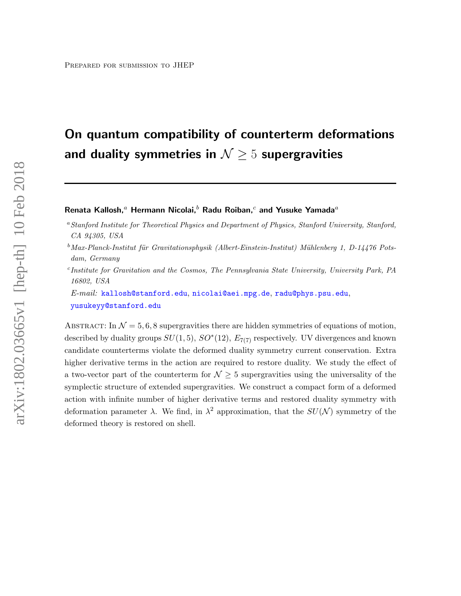# On quantum compatibility of counterterm deformations and duality symmetries in  $\mathcal{N} \geq 5$  supergravities

#### Renata Kallosh,<sup>a</sup> Hermann Nicolai,<sup>b</sup> Radu Roiban,<sup>c</sup> and Yusuke Yamada<sup>a</sup>

- $b$ Max-Planck-Institut für Gravitationsphysik (Albert-Einstein-Institut) Mühlenberg 1, D-14476 Potsdam, Germany
- c Institute for Gravitation and the Cosmos, The Pennsylvania State University, University Park, PA 16802, USA

E-mail: [kallosh@stanford.edu](mailto:kallosh@stanford.edu), [nicolai@aei.mpg.de](mailto:nicolai@aei.mpg.de), [radu@phys.psu.edu](mailto:radu@phys.psu.edu), [yusukeyy@stanford.edu](mailto:yusukeyy@stanford.edu)

ABSTRACT: In  $\mathcal{N} = 5, 6, 8$  supergravities there are hidden symmetries of equations of motion, described by duality groups  $SU(1,5)$ ,  $SO^*(12)$ ,  $E_{7(7)}$  respectively. UV divergences and known candidate counterterms violate the deformed duality symmetry current conservation. Extra higher derivative terms in the action are required to restore duality. We study the effect of a two-vector part of the counterterm for  $\mathcal{N} \geq 5$  supergravities using the universality of the symplectic structure of extended supergravities. We construct a compact form of a deformed action with infinite number of higher derivative terms and restored duality symmetry with deformation parameter  $\lambda$ . We find, in  $\lambda^2$  approximation, that the  $SU(N)$  symmetry of the deformed theory is restored on shell.

<sup>&</sup>lt;sup>a</sup>Stanford Institute for Theoretical Physics and Department of Physics, Stanford University, Stanford, CA 94305, USA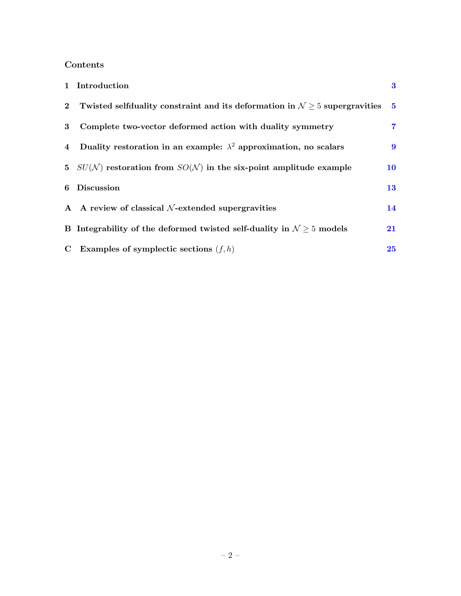# Contents

|                | 1 Introduction                                                                  | $\bf{3}$       |
|----------------|---------------------------------------------------------------------------------|----------------|
| $\mathbf{2}$   | Twisted selfduality constraint and its deformation in $N \geq 5$ supergravities | $\sqrt{5}$     |
| 3              | Complete two-vector deformed action with duality symmetry                       | $\overline{7}$ |
| $\overline{4}$ | Duality restoration in an example: $\lambda^2$ approximation, no scalars        | 9              |
|                | 5 $SU(N)$ restoration from $SO(N)$ in the six-point amplitude example           | 10             |
| 6              | Discussion                                                                      | 13             |
|                | A A review of classical $N$ -extended supergravities                            | 14             |
|                | B Integrability of the deformed twisted self-duality in $N \geq 5$ models       | 21             |
| $\mathbf C$    | Examples of symplectic sections $(f, h)$                                        | 25             |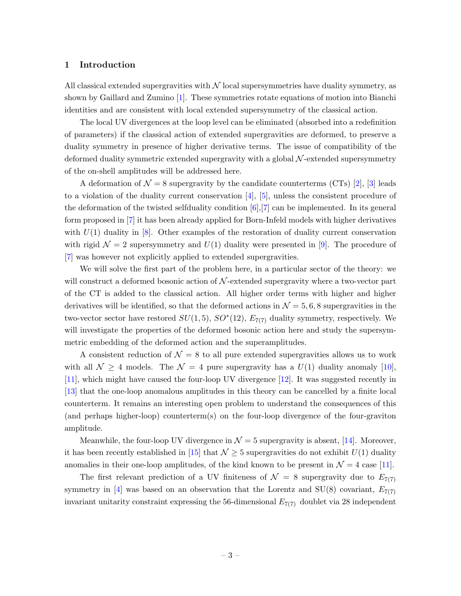#### <span id="page-2-0"></span>1 Introduction

All classical extended supergravities with  $\mathcal N$  local supersymmetries have duality symmetry, as shown by Gaillard and Zumino [\[1\]](#page-26-0). These symmetries rotate equations of motion into Bianchi identities and are consistent with local extended supersymmetry of the classical action.

The local UV divergences at the loop level can be eliminated (absorbed into a redefinition of parameters) if the classical action of extended supergravities are deformed, to preserve a duality symmetry in presence of higher derivative terms. The issue of compatibility of the deformed duality symmetric extended supergravity with a global  $\mathcal{N}$ -extended supersymmetry of the on-shell amplitudes will be addressed here.

A deformation of  $\mathcal{N} = 8$  supergravity by the candidate counterterms (CTs) [\[2\]](#page-26-1), [\[3\]](#page-26-2) leads to a violation of the duality current conservation [\[4\]](#page-26-3), [\[5\]](#page-26-4), unless the consistent procedure of the deformation of the twisted selfduality condition [\[6\]](#page-26-5),[\[7\]](#page-26-6) can be implemented. In its general form proposed in [\[7\]](#page-26-6) it has been already applied for Born-Infeld models with higher derivatives with  $U(1)$  duality in [\[8\]](#page-26-7). Other examples of the restoration of duality current conservation with rigid  $\mathcal{N} = 2$  supersymmetry and  $U(1)$  duality were presented in [\[9\]](#page-27-0). The procedure of [\[7\]](#page-26-6) was however not explicitly applied to extended supergravities.

We will solve the first part of the problem here, in a particular sector of the theory: we will construct a deformed bosonic action of  $\mathcal{N}$ -extended supergravity where a two-vector part of the CT is added to the classical action. All higher order terms with higher and higher derivatives will be identified, so that the deformed actions in  $\mathcal{N} = 5, 6, 8$  supergravities in the two-vector sector have restored  $SU(1,5)$ ,  $SO^*(12)$ ,  $E_{7(7)}$  duality symmetry, respectively. We will investigate the properties of the deformed bosonic action here and study the supersymmetric embedding of the deformed action and the superamplitudes.

A consistent reduction of  $\mathcal{N} = 8$  to all pure extended supergravities allows us to work with all  $\mathcal{N} \geq 4$  models. The  $\mathcal{N} = 4$  pure supergravity has a  $U(1)$  duality anomaly [\[10\]](#page-27-1), [\[11\]](#page-27-2), which might have caused the four-loop UV divergence [\[12\]](#page-27-3). It was suggested recently in [\[13\]](#page-27-4) that the one-loop anomalous amplitudes in this theory can be cancelled by a finite local counterterm. It remains an interesting open problem to understand the consequences of this (and perhaps higher-loop) counterterm(s) on the four-loop divergence of the four-graviton amplitude.

Meanwhile, the four-loop UV divergence in  $\mathcal{N}=5$  supergravity is absent, [\[14\]](#page-27-5). Moreover, it has been recently established in [\[15\]](#page-27-6) that  $\mathcal{N} \geq 5$  supergravities do not exhibit  $U(1)$  duality anomalies in their one-loop amplitudes, of the kind known to be present in  $\mathcal{N} = 4$  case [\[11\]](#page-27-2).

The first relevant prediction of a UV finiteness of  $\mathcal{N} = 8$  supergravity due to  $E_{7(7)}$ symmetry in [\[4\]](#page-26-3) was based on an observation that the Lorentz and SU(8) covariant,  $E_{7(7)}$ invariant unitarity constraint expressing the 56-dimensional  $E_{7(7)}$  doublet via 28 independent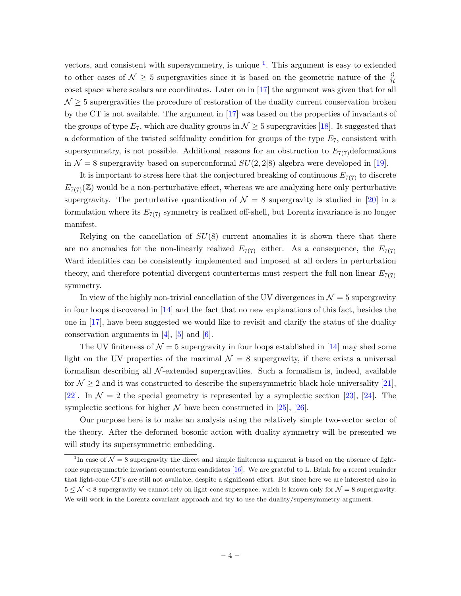vectors, and consistent with supersymmetry, is unique  $<sup>1</sup>$  $<sup>1</sup>$  $<sup>1</sup>$ . This argument is easy to extended</sup> to other cases of  $\mathcal{N} \geq 5$  supergravities since it is based on the geometric nature of the  $\frac{\mathcal{G}}{\mathcal{H}}$ coset space where scalars are coordinates. Later on in [\[17\]](#page-27-7) the argument was given that for all  $\mathcal{N} \geq 5$  supergravities the procedure of restoration of the duality current conservation broken by the CT is not available. The argument in [\[17\]](#page-27-7) was based on the properties of invariants of the groups of type  $E_7$ , which are duality groups in  $\mathcal{N} \geq 5$  supergravities [\[18\]](#page-27-8). It suggested that a deformation of the twisted selfduality condition for groups of the type  $E_7$ , consistent with supersymmetry, is not possible. Additional reasons for an obstruction to  $E_{7(7)}$  deformations in  $\mathcal{N} = 8$  supergravity based on superconformal  $SU(2, 2|8)$  algebra were developed in [\[19\]](#page-27-9).

It is important to stress here that the conjectured breaking of continuous  $E_{7(7)}$  to discrete  $E_{7(7)}(\mathbb{Z})$  would be a non-perturbative effect, whereas we are analyzing here only perturbative supergravity. The perturbative quantization of  $\mathcal{N} = 8$  supergravity is studied in [\[20\]](#page-27-10) in a formulation where its  $E_{7(7)}$  symmetry is realized off-shell, but Lorentz invariance is no longer manifest.

Relying on the cancellation of  $SU(8)$  current anomalies it is shown there that there are no anomalies for the non-linearly realized  $E_{7(7)}$  either. As a consequence, the  $E_{7(7)}$ Ward identities can be consistently implemented and imposed at all orders in perturbation theory, and therefore potential divergent counterterms must respect the full non-linear  $E_{7(7)}$ symmetry.

In view of the highly non-trivial cancellation of the UV divergences in  $\mathcal{N}=5$  supergravity in four loops discovered in  $[14]$  and the fact that no new explanations of this fact, besides the one in  $[17]$ , have been suggested we would like to revisit and clarify the status of the duality conservation arguments in  $[4]$ ,  $[5]$  and  $[6]$ .

The UV finiteness of  $\mathcal{N} = 5$  supergravity in four loops established in [\[14\]](#page-27-5) may shed some light on the UV properties of the maximal  $\mathcal{N} = 8$  supergravity, if there exists a universal formalism describing all  $\mathcal N$ -extended supergravities. Such a formalism is, indeed, available for  $\mathcal{N} \geq 2$  and it was constructed to describe the supersymmetric black hole universality [\[21\]](#page-27-11), [\[22\]](#page-27-12). In  $\mathcal{N}=2$  the special geometry is represented by a symplectic section [\[23\]](#page-27-13), [\[24\]](#page-27-14). The symplectic sections for higher  $N$  have been constructed in [\[25\]](#page-27-15), [\[26\]](#page-27-16).

Our purpose here is to make an analysis using the relatively simple two-vector sector of the theory. After the deformed bosonic action with duality symmetry will be presented we will study its supersymmetric embedding.

<span id="page-3-0"></span><sup>&</sup>lt;sup>1</sup>In case of  $\mathcal{N}=8$  supergravity the direct and simple finiteness argument is based on the absence of lightcone supersymmetric invariant counterterm candidates [\[16\]](#page-27-17). We are grateful to L. Brink for a recent reminder that light-cone CT's are still not available, despite a significant effort. But since here we are interested also in  $5 \leq \mathcal{N} < 8$  supergravity we cannot rely on light-cone superspace, which is known only for  $\mathcal{N} = 8$  supergravity. We will work in the Lorentz covariant approach and try to use the duality/supersymmetry argument.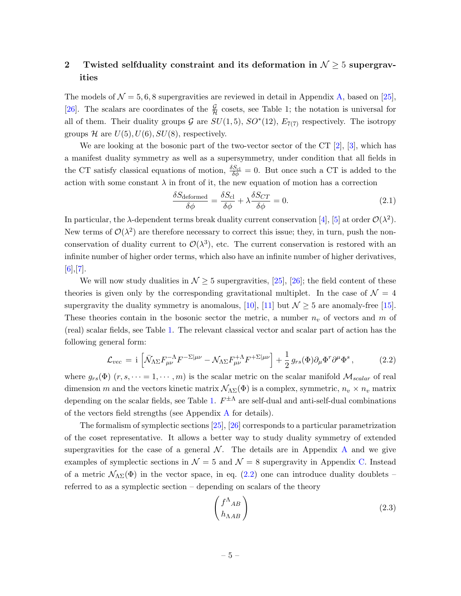# <span id="page-4-0"></span>2 Twisted selfduality constraint and its deformation in  $\mathcal{N} \geq 5$  supergravities

The models of  $\mathcal{N} = 5, 6, 8$  supergravities are reviewed in detail in Appendix [A,](#page-13-0) based on [\[25\]](#page-27-15), [\[26\]](#page-27-16). The scalars are coordinates of the  $\frac{\mathcal{G}}{\mathcal{H}}$  cosets, see Table 1; the notation is universal for all of them. Their duality groups  $G$  are  $SU(1,5)$ ,  $SO^*(12)$ ,  $E_{7(7)}$  respectively. The isotropy groups H are  $U(5)$ ,  $U(6)$ ,  $SU(8)$ , respectively.

We are looking at the bosonic part of the two-vector sector of the CT [\[2\]](#page-26-1), [\[3\]](#page-26-2), which has a manifest duality symmetry as well as a supersymmetry, under condition that all fields in the CT satisfy classical equations of motion,  $\frac{\delta S_{\text{cl}}}{\delta \phi} = 0$ . But once such a CT is added to the action with some constant  $\lambda$  in front of it, the new equation of motion has a correction

$$
\frac{\delta S_{\text{deformed}}}{\delta \phi} = \frac{\delta S_{\text{cl}}}{\delta \phi} + \lambda \frac{\delta S_{CT}}{\delta \phi} = 0. \tag{2.1}
$$

In particular, the  $\lambda$ -dependent terms break duality current conservation [\[4\]](#page-26-3), [\[5\]](#page-26-4) at order  $\mathcal{O}(\lambda^2)$ . New terms of  $\mathcal{O}(\lambda^2)$  are therefore necessary to correct this issue; they, in turn, push the nonconservation of duality current to  $\mathcal{O}(\lambda^3)$ , etc. The current conservation is restored with an infinite number of higher order terms, which also have an infinite number of higher derivatives,  $[6]$ ,  $[7]$ .

We will now study dualities in  $\mathcal{N} \geq 5$  supergravities, [\[25\]](#page-27-15), [\[26\]](#page-27-16); the field content of these theories is given only by the corresponding gravitational multiplet. In the case of  $\mathcal{N} = 4$ supergravity the duality symmetry is anomalous, [\[10\]](#page-27-1), [\[11\]](#page-27-2) but  $\mathcal{N} \geq 5$  are anomaly-free [\[15\]](#page-27-6). These theories contain in the bosonic sector the metric, a number  $n_v$  of vectors and m of (real) scalar fields, see Table [1.](#page-5-0) The relevant classical vector and scalar part of action has the following general form:

<span id="page-4-1"></span>
$$
\mathcal{L}_{vec} = \mathbf{i} \left[ \bar{\mathcal{N}}_{\Lambda \Sigma} F^{-\Lambda}_{\mu \nu} F^{-\Sigma |\mu \nu} - \mathcal{N}_{\Lambda \Sigma} F^{+\Lambda}_{\mu \nu} F^{+\Sigma |\mu \nu} \right] + \frac{1}{2} g_{rs}(\Phi) \partial_{\mu} \Phi^r \partial^{\mu} \Phi^s , \qquad (2.2)
$$

where  $g_{rs}(\Phi)(r, s, \dots = 1, \dots, m)$  is the scalar metric on the scalar manifold  $\mathcal{M}_{scalar}$  of real dimension m and the vectors kinetic matrix  $\mathcal{N}_{\Lambda\Sigma}(\Phi)$  is a complex, symmetric,  $n_v \times n_v$  matrix depending on the scalar fields, see Table [1.](#page-5-0)  $F^{\pm \Lambda}$  are self-dual and anti-self-dual combinations of the vectors field strengths (see [A](#page-13-0)ppendix  $\Lambda$  for details).

The formalism of symplectic sections [\[25\]](#page-27-15), [\[26\]](#page-27-16) corresponds to a particular parametrization of the coset representative. It allows a better way to study duality symmetry of extended supergravities for the case of a general  $\mathcal N$ . The details are in [A](#page-13-0)ppendix A and we give examples of symplectic sections in  $\mathcal{N} = 5$  and  $\mathcal{N} = 8$  supergravity in Appendix [C.](#page-24-0) Instead of a metric  $\mathcal{N}_{\Lambda\Sigma}(\Phi)$  in the vector space, in eq. [\(2.2\)](#page-4-1) one can introduce duality doublets – referred to as a symplectic section – depending on scalars of the theory

$$
\begin{pmatrix} f^{\Lambda}{}_{AB} \\ h_{\Lambda AB} \end{pmatrix} \tag{2.3}
$$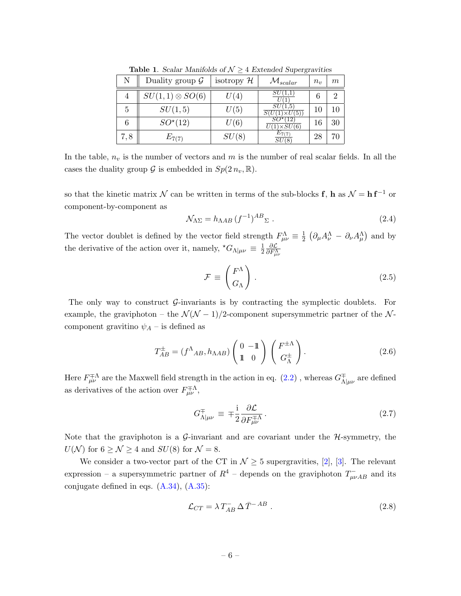|     | Duality group $\mathcal G$ | isotropy $\mathcal H$ | $\mathcal{M}_{scalar}$ | $n_{\eta}$ | $\,m$ |
|-----|----------------------------|-----------------------|------------------------|------------|-------|
|     | $SU(1,1)\otimes SO(6)$     | U(4,                  |                        |            | ച     |
| 5   | SU(1,5)                    | U(5)                  | SU(1.5<br>5)           | 10         |       |
|     | $SO^{\star}(12)$           | U(6)                  | 12<br>SU(6)            | 16         |       |
| 7,8 | $E_{7(7)}$                 | SU(8)                 |                        | 28         |       |

<span id="page-5-0"></span>Table 1. Scalar Manifolds of  $\mathcal{N} \geq 4$  Extended Supergravities

In the table,  $n_v$  is the number of vectors and m is the number of real scalar fields. In all the cases the duality group  $\mathcal G$  is embedded in  $Sp(2n_v,\mathbb R)$ .

so that the kinetic matrix  $\mathcal N$  can be written in terms of the sub-blocks **f**, **h** as  $\mathcal N = \mathbf{hf}^{-1}$  or component-by-component as

$$
\mathcal{N}_{\Lambda\Sigma} = h_{\Lambda AB} \left( f^{-1} \right)^{AB}{}_{\Sigma} \,. \tag{2.4}
$$

The vector doublet is defined by the vector field strength  $F^{\Lambda}_{\mu\nu} \equiv \frac{1}{2}$  $\frac{1}{2}$   $\left(\partial_{\mu}A^{\Lambda}_{\nu} - \partial_{\nu}A^{\Lambda}_{\mu}\right)$  and by the derivative of the action over it, namely,  ${}^{\star}G_{\Lambda|\mu\nu} \equiv \frac{1}{2}$ 2  $\frac{\partial \mathcal{L}}{\partial F_{\mu\nu}^{\Lambda}}$ 

$$
\mathcal{F} \equiv \begin{pmatrix} F^{\Lambda} \\ G_{\Lambda} \end{pmatrix} . \tag{2.5}
$$

The only way to construct  $\mathcal{G}-i$ -invariants is by contracting the symplectic doublets. For example, the graviphoton – the  $\mathcal{N}(\mathcal{N} - 1)/2$ -component supersymmetric partner of the  $\mathcal{N}$ component gravitino  $\psi_A$  – is defined as

$$
T_{AB}^{\pm} = (f^{\Lambda}_{AB}, h_{\Lambda AB}) \begin{pmatrix} 0 & -\mathbb{1} \\ \mathbb{1} & 0 \end{pmatrix} \begin{pmatrix} F^{\pm \Lambda} \\ G^{\pm}_{\Lambda} \end{pmatrix} . \tag{2.6}
$$

Here  $F^{\mp\Lambda}_{\mu\nu}$  are the Maxwell field strength in the action in eq.  $(2.2)$  , whereas  $G^{\mp\Lambda}_{\Lambda}$  $\frac{1}{\Lambda |\mu\nu}$  are defined as derivatives of the action over  $F^{\pm\Lambda}_{\mu\nu}$ ,

$$
G_{\Lambda|\mu\nu}^{\mp} \equiv \mp \frac{i}{2} \frac{\partial \mathcal{L}}{\partial F_{\mu\nu}^{\mp\Lambda}}.
$$
\n(2.7)

Note that the graviphoton is a  $\mathcal{G}\text{-invariant}$  and are covariant under the  $\mathcal{H}\text{-symmetry}$ , the  $U(\mathcal{N})$  for  $6 \geq \mathcal{N} \geq 4$  and  $SU(8)$  for  $\mathcal{N} = 8$ .

We consider a two-vector part of the CT in  $\mathcal{N} \geq 5$  supergravities, [\[2\]](#page-26-1), [\[3\]](#page-26-2). The relevant expression – a supersymmetric partner of  $R^4$  – depends on the graviphoton  $T_{\mu\nu AB}^-$  and its conjugate defined in eqs.  $(A.34)$ ,  $(A.35)$ :

<span id="page-5-1"></span>
$$
\mathcal{L}_{CT} = \lambda T_{AB}^- \Delta \bar{T}^{-AB} . \qquad (2.8)
$$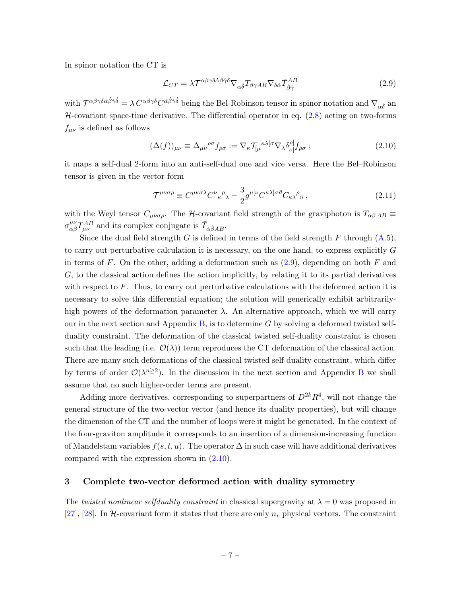In spinor notation the CT is

<span id="page-6-1"></span>
$$
\mathcal{L}_{CT} = \lambda \mathcal{T}^{\alpha \beta \gamma \delta \dot{\alpha} \dot{\beta} \dot{\gamma} \dot{\delta}} \nabla_{\alpha \dot{\delta}} T_{\beta \gamma AB} \nabla_{\delta \dot{\alpha}} \bar{T}^{AB}_{\dot{\beta} \dot{\gamma}}
$$
(2.9)

with  $\mathcal{T}^{\alpha\beta\gamma\delta\dot{\alpha}\dot{\beta}\dot{\gamma}\dot{\delta}} = \lambda C^{\alpha\beta\gamma\delta}\bar{C}^{\dot{\alpha}\dot{\beta}\dot{\gamma}\dot{\delta}}$  being the Bel-Robinson tensor in spinor notation and  $\nabla_{\alpha\dot{\delta}}$  and  $H$ -covariant space-time derivative. The differential operator in eq.  $(2.8)$  acting on two-forms  $f_{\mu\nu}$  is defined as follows

<span id="page-6-2"></span>
$$
(\Delta(f))_{\mu\nu} \equiv \Delta_{\mu\nu}{}^{\rho\sigma} f_{\rho\sigma} := \nabla_{\kappa} \mathcal{T}_{\lbrack \mu}{}^{\kappa\lambda[\sigma} \nabla_{\lambda} \delta^{\rho]}_{\nu]} f_{\rho\sigma} ; \tag{2.10}
$$

it maps a self-dual 2-form into an anti-self-dual one and vice versa. Here the Bel–Robinson tensor is given in the vector form

$$
\mathcal{T}^{\mu\nu\sigma\rho} \equiv C^{\mu\kappa\sigma\lambda} C^{\nu}{}_{\kappa}{}^{\rho}{}_{\lambda} - \frac{3}{2} g^{\mu[\nu} C^{\kappa\lambda]\sigma\vartheta} C_{\kappa\lambda}{}^{\rho}{}_{\vartheta} \,, \tag{2.11}
$$

with the Weyl tensor  $C_{\mu\nu\sigma\rho}$ . The H-covariant field strength of the graviphoton is  $T_{\alpha\beta AB} \equiv$  $\sigma_{\alpha\beta}^{\mu\nu}T_{\mu\nu}^{AB}$  and its complex conjugate is  $\bar{T}_{\dot{\alpha}\dot{\beta}AB}$ .

Since the dual field strength G is defined in terms of the field strength F through  $(A.5)$ , to carry out perturbative calculation it is necessary, on the one hand, to express explicitly G in terms of  $F$ . On the other, adding a deformation such as  $(2.9)$ , depending on both  $F$  and G, to the classical action defines the action implicitly, by relating it to its partial derivatives with respect to  $F$ . Thus, to carry out perturbative calculations with the deformed action it is necessary to solve this differential equation; the solution will generically exhibit arbitrarilyhigh powers of the deformation parameter  $\lambda$ . An alternative approach, which we will carry our in the next section and Appendix [B,](#page-20-0) is to determine  $G$  by solving a deformed twisted selfduality constraint. The deformation of the classical twisted self-duality constraint is chosen such that the leading (i.e.  $\mathcal{O}(\lambda)$ ) term reproduces the CT deformation of the classical action. There are many such deformations of the classical twisted self-duality constraint, which differ by terms of order  $\mathcal{O}(\lambda^{n\geq 2})$ . In the discussion in the next section and Appendix [B](#page-20-0) we shall assume that no such higher-order terms are present.

Adding more derivatives, corresponding to superpartners of  $D^{2k}R^4$ , will not change the general structure of the two-vector vector (and hence its duality properties), but will change the dimension of the CT and the number of loops were it might be generated. In the context of the four-graviton amplitude it corresponds to an insertion of a dimension-increasing function of Mandelstam variables  $f(s, t, u)$ . The operator  $\Delta$  in such case will have additional derivatives compared with the expression shown in [\(2.10\)](#page-6-2).

#### <span id="page-6-0"></span>3 Complete two-vector deformed action with duality symmetry

The twisted nonlinear selfduality constraint in classical supergravity at  $\lambda = 0$  was proposed in [\[27\]](#page-27-18), [\[28\]](#page-27-19). In H-covariant form it states that there are only  $n_v$  physical vectors. The constraint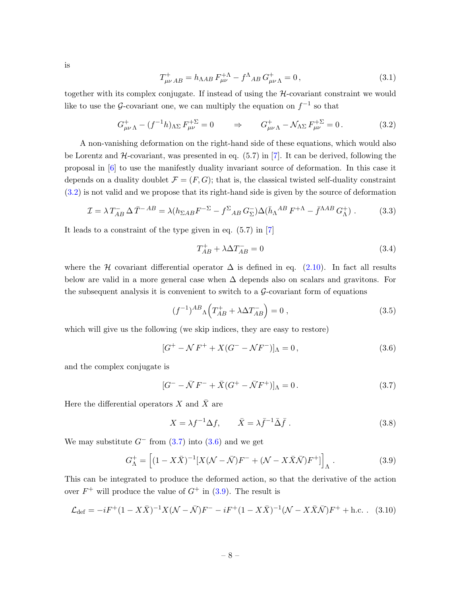is

<span id="page-7-6"></span>
$$
T^{+}_{\mu\nu AB} = h_{\Lambda AB} F^{+\Lambda}_{\mu\nu} - f^{\Lambda}{}_{AB} G^{+}_{\mu\nu\Lambda} = 0, \qquad (3.1)
$$

together with its complex conjugate. If instead of using the H-covariant constraint we would like to use the G-covariant one, we can multiply the equation on  $f^{-1}$  so that

<span id="page-7-0"></span>
$$
G_{\mu\nu\Lambda}^{+} - (f^{-1}h)_{\Lambda\Sigma} F_{\mu\nu}^{+\Sigma} = 0 \qquad \Rightarrow \qquad G_{\mu\nu\Lambda}^{+} - \mathcal{N}_{\Lambda\Sigma} F_{\mu\nu}^{+\Sigma} = 0. \tag{3.2}
$$

A non-vanishing deformation on the right-hand side of these equations, which would also be Lorentz and  $H$ -covariant, was presented in eq.  $(5.7)$  in  $[7]$ . It can be derived, following the proposal in [\[6\]](#page-26-5) to use the manifestly duality invariant source of deformation. In this case it depends on a duality doublet  $\mathcal{F} = (F, G)$ ; that is, the classical twisted self-duality constraint [\(3.2\)](#page-7-0) is not valid and we propose that its right-hand side is given by the source of deformation

$$
\mathcal{I} = \lambda T_{AB}^- \Delta \bar{T}^{-AB} = \lambda (h_{\Sigma AB} F^{-\Sigma} - f^{\Sigma}{}_{AB} G_{\Sigma}^-) \Delta (\bar{h}_{\Lambda}{}^{AB} F^{+\Lambda} - \bar{f}^{\Lambda AB} G_{\Lambda}^+)
$$
(3.3)

It leads to a constraint of the type given in eq. (5.7) in [\[7\]](#page-26-6)

<span id="page-7-5"></span>
$$
T_{AB}^{+} + \lambda \Delta T_{AB}^{-} = 0 \tag{3.4}
$$

where the H covariant differential operator  $\Delta$  is defined in eq. [\(2.10\)](#page-6-2). In fact all results below are valid in a more general case when  $\Delta$  depends also on scalars and gravitons. For the subsequent analysis it is convenient to switch to a  $\mathcal{G}$ -covariant form of equations

$$
(f^{-1})^{AB} \Lambda \left( T_{AB}^{+} + \lambda \Delta T_{AB}^{-} \right) = 0 , \qquad (3.5)
$$

which will give us the following (we skip indices, they are easy to restore)

<span id="page-7-2"></span>
$$
[G^{+} - N F^{+} + X(G^{-} - NF^{-})]_{\Lambda} = 0, \qquad (3.6)
$$

and the complex conjugate is

<span id="page-7-1"></span>
$$
[G^- - \bar{\mathcal{N}}F^- + \bar{X}(G^+ - \bar{\mathcal{N}}F^+)]_{\Lambda} = 0.
$$
 (3.7)

Here the differential operators X and  $\bar{X}$  are

<span id="page-7-4"></span><span id="page-7-3"></span>
$$
X = \lambda f^{-1} \Delta f, \qquad \bar{X} = \lambda \bar{f}^{-1} \bar{\Delta} \bar{f} \ . \tag{3.8}
$$

We may substitute  $G^-$  from  $(3.7)$  into  $(3.6)$  and we get

$$
G_{\Lambda}^{+} = \left[ (1 - X\bar{X})^{-1} [X(\mathcal{N} - \bar{\mathcal{N}})F^{-} + (\mathcal{N} - X\bar{X}\bar{\mathcal{N}})F^{+}] \right]_{\Lambda}.
$$
 (3.9)

This can be integrated to produce the deformed action, so that the derivative of the action over  $F^+$  will produce the value of  $G^+$  in [\(3.9\)](#page-7-3). The result is

$$
\mathcal{L}_{\text{def}} = -iF^{+}(1 - X\bar{X})^{-1}X(\mathcal{N} - \bar{\mathcal{N}})F^{-} - iF^{+}(1 - X\bar{X})^{-1}(\mathcal{N} - X\bar{X}\bar{\mathcal{N}})F^{+} + \text{h.c.} \quad (3.10)
$$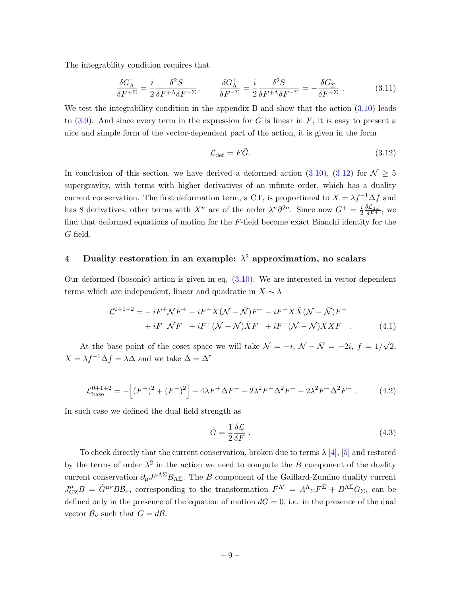The integrability condition requires that

<span id="page-8-3"></span>
$$
\frac{\delta G_{\Lambda}^{+}}{\delta F^{+\Sigma}} = \frac{i}{2} \frac{\delta^{2} S}{\delta F^{+\Lambda} \delta F^{+\Sigma}}, \qquad \frac{\delta G_{\Lambda}^{+}}{\delta F^{-\Sigma}} = \frac{i}{2} \frac{\delta^{2} S}{\delta F^{+\Lambda} \delta F^{-\Sigma}} = -\frac{\delta G_{\Sigma}^{-}}{\delta F^{+\Sigma}}.
$$
(3.11)

We test the integrability condition in the appendix B and show that the action  $(3.10)$  leads to  $(3.9)$ . And since every term in the expression for G is linear in F, it is easy to present a nice and simple form of the vector-dependent part of the action, it is given in the form

<span id="page-8-1"></span>
$$
\mathcal{L}_{\text{def}} = F\tilde{G}.\tag{3.12}
$$

In conclusion of this section, we have derived a deformed action [\(3.10\)](#page-7-4), [\(3.12\)](#page-8-1) for  $\mathcal{N} \geq 5$ supergravity, with terms with higher derivatives of an infinite order, which has a duality current conservation. The first deformation term, a CT, is proportional to  $X = \lambda f^{-1} \Delta f$  and has 8 derivatives, other terms with  $X^n$  are of the order  $\lambda^n \partial^{2n}$ . Since now  $G^+ = \frac{i}{2}$  $\frac{i}{2} \frac{\delta \mathcal{L}_{\text{def}}}{\delta F^+}$ , we find that deformed equations of motion for the  $F$ -field become exact Bianchi identity for the G-field.

# <span id="page-8-0"></span>4 Duality restoration in an example:  $\lambda^2$  approximation, no scalars

Our deformed (bosonic) action is given in eq. [\(3.10\)](#page-7-4). We are interested in vector-dependent terms which are independent, linear and quadratic in  $X \sim \lambda$ 

$$
\mathcal{L}^{0+1+2} = -iF^{+}\mathcal{N}F^{+} - iF^{+}X(\mathcal{N} - \bar{\mathcal{N}})F^{-} - iF^{+}X\bar{X}(\mathcal{N} - \bar{\mathcal{N}})F^{+} \n+ iF^{-}\bar{\mathcal{N}}F^{-} + iF^{+}(\bar{\mathcal{N}} - \mathcal{N})\bar{X}F^{-} + iF^{-}(\bar{\mathcal{N}} - \mathcal{N})\bar{X}XF^{-}.
$$
\n(4.1)

At the base point of the coset space we will take  $\mathcal{N} = -i$ ,  $\mathcal{N} - \bar{\mathcal{N}} = -2i$ ,  $f = 1/\sqrt{2}$ ,  $X = \lambda f^{-1} \Delta f = \lambda \Delta$  and we take  $\Delta = \Delta^\dagger$ 

$$
\mathcal{L}_{\text{base}}^{0+1+2} = -\left[ (F^+)^2 + (F^-)^2 \right] - 4\lambda F^+ \Delta F^- - 2\lambda^2 F^+ \Delta^2 F^+ - 2\lambda^2 F^- \Delta^2 F^- \,. \tag{4.2}
$$

In such case we defined the dual field strength as

<span id="page-8-2"></span>
$$
\tilde{G} = \frac{1}{2} \frac{\delta \mathcal{L}}{\delta F} \tag{4.3}
$$

To check directly that the current conservation, broken due to terms  $\lambda$  [\[4\]](#page-26-3), [\[5\]](#page-26-4) and restored by the terms of order  $\lambda^2$  in the action we need to compute the B component of the duality current conservation  $\partial_\mu J^{\mu\Lambda\Sigma}B_{\Lambda\Sigma}$ . The B component of the Gaillard-Zumino duality current  $J_{\rm GZ}^{\mu}B = \tilde{G}^{\mu\nu}B\mathcal{B}_{\nu}$ , corresponding to the transformation  $F^{\Lambda'} = A^{\Lambda}_{\Sigma}F^{\Sigma} + B^{\Lambda\Sigma}G_{\Sigma}$ , can be defined only in the presence of the equation of motion  $dG = 0$ , i.e. in the presence of the dual vector  $\mathcal{B}_{\nu}$  such that  $G = d\mathcal{B}$ .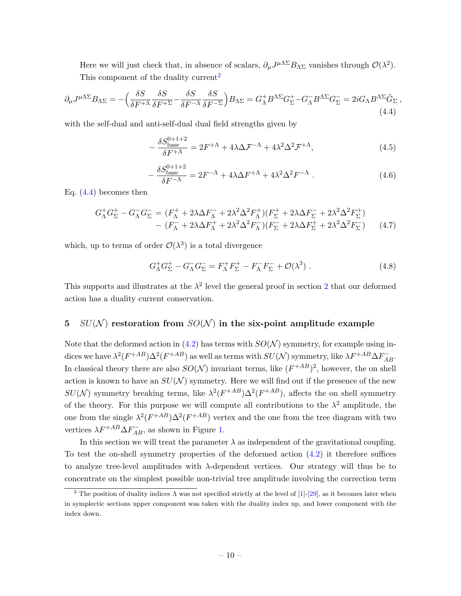Here we will just check that, in absence of scalars,  $\partial_\mu J^{\mu\Lambda\Sigma} B_{\Lambda\Sigma}$  vanishes through  $\mathcal{O}(\lambda^2)$ . This component of the duality current<sup>[2](#page-9-1)</sup>

<span id="page-9-2"></span>
$$
\partial_{\mu}J^{\mu\Lambda\Sigma}B_{\Lambda\Sigma} = -\Big(\frac{\delta S}{\delta F^{+\Lambda}}\frac{\delta S}{\delta F^{+\Sigma}} - \frac{\delta S}{\delta F^{-\Lambda}}\frac{\delta S}{\delta F^{-\Sigma}}\Big)B_{\Lambda\Sigma} = G_{\Lambda}^{+}B^{\Lambda\Sigma}G_{\Sigma}^{+} - G_{\Lambda}^{-}B^{\Lambda\Sigma}G_{\Sigma}^{-} = 2iG_{\Lambda}B^{\Lambda\Sigma}\tilde{G}_{\Sigma} \tag{4.4}
$$

with the self-dual and anti-self-dual dual field strengths given by

$$
-\frac{\delta S_{\text{base}}^{0+1+2}}{\delta F^{+\Lambda}} = 2F^{+\Lambda} + 4\lambda \Delta \mathcal{F}^{-\Lambda} + 4\lambda^2 \Delta^2 \mathcal{F}^{+\Lambda},\tag{4.5}
$$

$$
-\frac{\delta S_{\text{base}}^{0+1+2}}{\delta F^{-\Lambda}} = 2F^{-\Lambda} + 4\lambda \Delta F^{+\Lambda} + 4\lambda^2 \Delta^2 F^{-\Lambda} \tag{4.6}
$$

Eq. [\(4.4\)](#page-9-2) becomes then

$$
G_{\Lambda}^{+}G_{\Sigma}^{+} - G_{\Lambda}^{-}G_{\Sigma}^{-} = (F_{\Lambda}^{+} + 2\lambda\Delta F_{\Lambda}^{-} + 2\lambda^{2}\Delta^{2}F_{\Lambda}^{+})(F_{\Sigma}^{+} + 2\lambda\Delta F_{\Sigma}^{-} + 2\lambda^{2}\Delta^{2}F_{\Sigma}^{+}) - (F_{\Lambda}^{-} + 2\lambda\Delta F_{\Lambda}^{+} + 2\lambda^{2}\Delta^{2}F_{\Lambda}^{-})(F_{\Sigma}^{-} + 2\lambda\Delta F_{\Sigma}^{+} + 2\lambda^{2}\Delta^{2}F_{\Sigma}^{-})
$$
(4.7)

which, up to terms of order  $\mathcal{O}(\lambda^3)$  is a total divergence

$$
G_{\Lambda}^+ G_{\Sigma}^+ - G_{\Lambda}^- G_{\Sigma}^- = F_{\Lambda}^+ F_{\Sigma}^+ - F_{\Lambda}^- F_{\Sigma}^- + \mathcal{O}(\lambda^3) \tag{4.8}
$$

This supports and illustrates at the  $\lambda^2$  $\lambda^2$  level the general proof in section 2 that our deformed action has a duality current conservation.

### <span id="page-9-0"></span>5  $SU(N)$  restoration from  $SO(N)$  in the six-point amplitude example

Note that the deformed action in  $(4.2)$  has terms with  $SO(N)$  symmetry, for example using indices we have  $\lambda^2 (F^{+AB}) \Delta^2 (F^{+AB})$  as well as terms with  $SU({\cal N})$  symmetry, like  $\lambda F^{+AB} \Delta F^-_{AB}$ . In classical theory there are also  $SO(N)$  invariant terms, like  $(F^{+AB})^2$ , however, the on shell action is known to have an  $SU(N)$  symmetry. Here we will find out if the presence of the new  $SU(N)$  symmetry breaking terms, like  $\lambda^2 (F^{+AB}) \Delta^2 (F^{+AB})$ , affects the on shell symmetry of the theory. For this purpose we will compute all contributions to the  $\lambda^2$  amplitude, the one from the single  $\lambda^2 (F^{+AB}) \Delta^2 (F^{+AB})$  vertex and the one from the tree diagram with two vertices  $\lambda F^{+AB} \Delta F_{AB}^-$ , as shown in Figure [1.](#page-11-0)

In this section we will treat the parameter  $\lambda$  as independent of the gravitational coupling. To test the on-shell symmetry properties of the deformed action  $(4.2)$  it therefore suffices to analyze tree-level amplitudes with  $\lambda$ -dependent vertices. Our strategy will thus be to concentrate on the simplest possible non-trivial tree amplitude involving the correction term

<span id="page-9-1"></span><sup>&</sup>lt;sup>2</sup> The position of duality indices  $\Lambda$  was not specified strictly at the level of [\[1\]](#page-26-0)-[\[29\]](#page-28-0), as it becomes later when in symplectic sections upper component was taken with the duality index up, and lower component with the index down.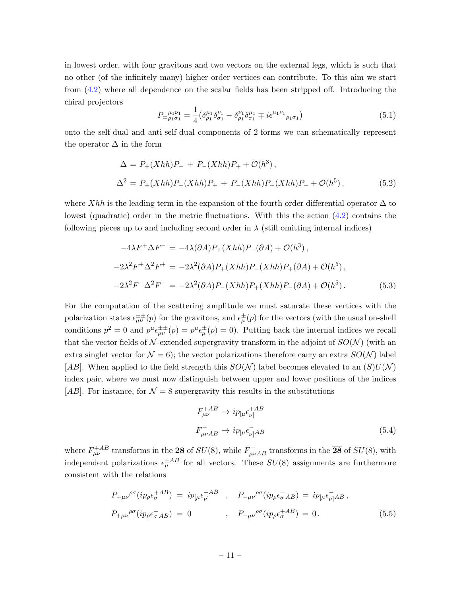in lowest order, with four gravitons and two vectors on the external legs, which is such that no other (of the infinitely many) higher order vertices can contribute. To this aim we start from [\(4.2\)](#page-8-2) where all dependence on the scalar fields has been stripped off. Introducing the chiral projectors

$$
P_{\pm \rho_1 \sigma_1}^{\mu_1 \nu_1} = \frac{1}{4} \left( \delta^{\mu_1}_{\rho_1} \delta^{\nu_1}_{\sigma_1} - \delta^{\nu_1}_{\rho_1} \delta^{\mu_1}_{\sigma_1} \mp i \epsilon^{\mu_1 \nu_1}_{\rho_1 \sigma_1} \right) \tag{5.1}
$$

onto the self-dual and anti-self-dual components of 2-forms we can schematically represent the operator  $\Delta$  in the form

$$
\Delta = P_{+}(Xhh)P_{-} + P_{-}(Xhh)P_{+} + \mathcal{O}(h^{3}),
$$
  
\n
$$
\Delta^{2} = P_{+}(Xhh)P_{-}(Xhh)P_{+} + P_{-}(Xhh)P_{+}(Xhh)P_{-} + \mathcal{O}(h^{5}),
$$
\n(5.2)

where Xhh is the leading term in the expansion of the fourth order differential operator  $\Delta$  to lowest (quadratic) order in the metric fluctuations. With this the action [\(4.2\)](#page-8-2) contains the following pieces up to and including second order in  $\lambda$  (still omitting internal indices)

<span id="page-10-0"></span>
$$
-4\lambda F^{+}\Delta F^{-} = -4\lambda(\partial A)P_{+}(Xhh)P_{-}(\partial A) + \mathcal{O}(h^{3}),
$$
  
\n
$$
-2\lambda^{2}F^{+}\Delta^{2}F^{+} = -2\lambda^{2}(\partial A)P_{+}(Xhh)P_{-}(Xhh)P_{+}(\partial A) + \mathcal{O}(h^{5}),
$$
  
\n
$$
-2\lambda^{2}F^{-}\Delta^{2}F^{-} = -2\lambda^{2}(\partial A)P_{-}(Xhh)P_{+}(Xhh)P_{-}(\partial A) + \mathcal{O}(h^{5}).
$$
\n(5.3)

For the computation of the scattering amplitude we must saturate these vertices with the polarization states  $\epsilon^{\pm\pm}_{\mu\nu}(p)$  for the gravitons, and  $\epsilon^{\pm}_{\mu}(p)$  for the vectors (with the usual on-shell conditions  $p^2 = 0$  and  $p^{\mu} \epsilon^{\pm \pm}_{\mu \nu}(p) = p^{\mu} \epsilon^{\pm}_{\mu}(p) = 0$ . Putting back the internal indices we recall that the vector fields of  $\mathcal{N}$ -extended supergravity transform in the adjoint of  $SO(N)$  (with an extra singlet vector for  $\mathcal{N} = 6$ ); the vector polarizations therefore carry an extra  $SO(\mathcal{N})$  label [AB]. When applied to the field strength this  $SO(N)$  label becomes elevated to an  $(S)U(N)$ index pair, where we must now distinguish between upper and lower positions of the indices [AB]. For instance, for  $\mathcal{N} = 8$  supergravity this results in the substitutions

$$
F_{\mu\nu}^{+AB} \rightarrow i p_{\lbrack\mu} \epsilon_{\nu\rbrack}^{+AB}
$$
\n
$$
F_{\mu\nu AB}^{-} \rightarrow i p_{\lbrack\mu} \epsilon_{\nu\rbrack}^{-}AB
$$
\n
$$
(5.4)
$$

where  $F_{\mu\nu}^{+AB}$  transforms in the 28 of  $SU(8)$ , while  $F_{\mu\nu AB}^-$  transforms in the  $\overline{28}$  of  $SU(8)$ , with independent polarizations  $\epsilon_{\mu}^{\pm AB}$  for all vectors. These  $SU(8)$  assignments are furthermore consistent with the relations

<span id="page-10-1"></span>
$$
P_{+\mu\nu}{}^{\rho\sigma}(ip_{\rho}\epsilon_{\sigma}^{+AB}) = ip_{[\mu}\epsilon_{\nu]}^{+AB} , \quad P_{-\mu\nu}{}^{\rho\sigma}(ip_{\rho}\epsilon_{\sigma}^{-}AB) = ip_{[\mu}\epsilon_{\nu]}^{-}AB ,
$$
  

$$
P_{+\mu\nu}{}^{\rho\sigma}(ip_{\rho}\epsilon_{\sigma}^{-}AB) = 0 , \quad P_{-\mu\nu}{}^{\rho\sigma}(ip_{\rho}\epsilon_{\sigma}^{+AB}) = 0 .
$$
 (5.5)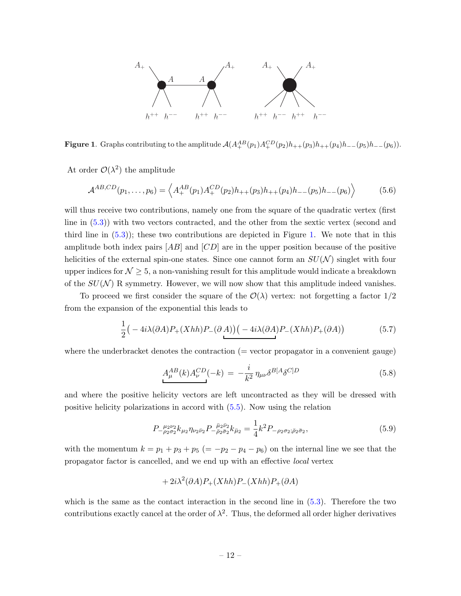

<span id="page-11-0"></span>**Figure 1.** Graphs contributing to the amplitude  $A(A^{AB}_+(p_1)A^{CD}_+(p_2)h_{++}(p_3)h_{++}(p_4)h_{--}(p_5)h_{--}(p_6)).$ 

At order  $\mathcal{O}(\lambda^2)$  the amplitude

$$
\mathcal{A}^{AB,CD}(p_1,\ldots,p_6) = \left\langle A_+^{AB}(p_1) A_+^{CD}(p_2) h_{++}(p_3) h_{++}(p_4) h_{--}(p_5) h_{--}(p_6) \right\rangle \tag{5.6}
$$

will thus receive two contributions, namely one from the square of the quadratic vertex (first line in [\(5.3\)](#page-10-0)) with two vectors contracted, and the other from the sextic vertex (second and third line in  $(5.3)$ ; these two contributions are depicted in Figure [1.](#page-11-0) We note that in this amplitude both index pairs  $[AB]$  and  $[CD]$  are in the upper position because of the positive helicities of the external spin-one states. Since one cannot form an  $SU(N)$  singlet with four upper indices for  $\mathcal{N} \geq 5$ , a non-vanishing result for this amplitude would indicate a breakdown of the  $SU(N)$  R symmetry. However, we will now show that this amplitude indeed vanishes.

To proceed we first consider the square of the  $\mathcal{O}(\lambda)$  vertex: not forgetting a factor  $1/2$ from the expansion of the exponential this leads to

$$
\frac{1}{2}\left(-4i\lambda(\partial A)P_{+}(Xhh)P_{-}(\partial A)\right)\left(-4i\lambda(\partial A)P_{-}(Xhh)P_{+}(\partial A)\right) \tag{5.7}
$$

where the underbracket denotes the contraction  $($  = vector propagator in a convenient gauge $)$ 

$$
A_{\mu}^{AB}(k)A_{\nu}^{CD}(-k) = -\frac{i}{k^2} \eta_{\mu\nu} \delta^{B[A} \delta^{C]D} \tag{5.8}
$$

and where the positive helicity vectors are left uncontracted as they will be dressed with positive helicity polarizations in accord with [\(5.5\)](#page-10-1). Now using the relation

$$
P_{-\rho_2\sigma_2}^{\mu_2\nu_2} k_{\mu_2} \eta_{\nu_2\bar{\nu}_2} P_{-\bar{\rho}_2\bar{\sigma}_2}^{\bar{\mu}_2\bar{\nu}_2} k_{\bar{\mu}_2} = \frac{1}{4} k^2 P_{-\rho_2\sigma_2; \bar{\rho}_2\bar{\sigma}_2},\tag{5.9}
$$

with the momentum  $k = p_1 + p_3 + p_5 (= -p_2 - p_4 - p_6)$  on the internal line we see that the propagator factor is cancelled, and we end up with an effective local vertex

$$
+ 2i\lambda^2(\partial A)P_+(Xhh)P_-(Xhh)P_+(\partial A)
$$

which is the same as the contact interaction in the second line in [\(5.3\)](#page-10-0). Therefore the two contributions exactly cancel at the order of  $\lambda^2$ . Thus, the deformed all order higher derivatives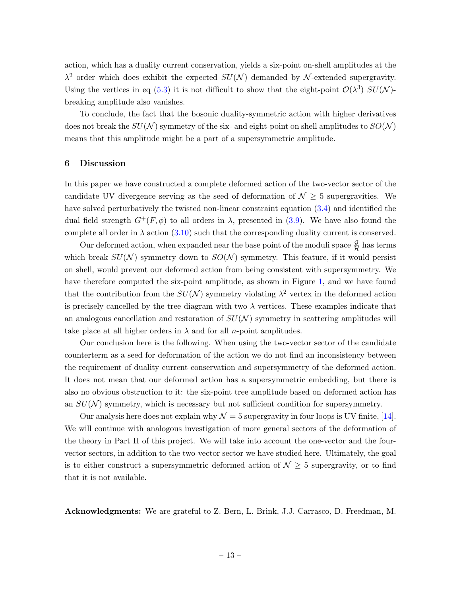action, which has a duality current conservation, yields a six-point on-shell amplitudes at the  $\lambda^2$  order which does exhibit the expected  $SU(N)$  demanded by N-extended supergravity. Using the vertices in eq [\(5.3\)](#page-10-0) it is not difficult to show that the eight-point  $\mathcal{O}(\lambda^3)$   $SU(\mathcal{N})$ breaking amplitude also vanishes.

To conclude, the fact that the bosonic duality-symmetric action with higher derivatives does not break the  $SU(N)$  symmetry of the six- and eight-point on shell amplitudes to  $SO(N)$ means that this amplitude might be a part of a supersymmetric amplitude.

#### <span id="page-12-0"></span>6 Discussion

In this paper we have constructed a complete deformed action of the two-vector sector of the candidate UV divergence serving as the seed of deformation of  $\mathcal{N} \geq 5$  supergravities. We have solved perturbatively the twisted non-linear constraint equation [\(3.4\)](#page-7-5) and identified the dual field strength  $G^+(F,\phi)$  to all orders in  $\lambda$ , presented in [\(3.9\)](#page-7-3). We have also found the complete all order in  $\lambda$  action [\(3.10\)](#page-7-4) such that the corresponding duality current is conserved.

Our deformed action, when expanded near the base point of the moduli space  $\frac{\mathcal{G}}{\mathcal{H}}$  has terms which break  $SU(N)$  symmetry down to  $SO(N)$  symmetry. This feature, if it would persist on shell, would prevent our deformed action from being consistent with supersymmetry. We have therefore computed the six-point amplitude, as shown in Figure [1,](#page-11-0) and we have found that the contribution from the  $SU(N)$  symmetry violating  $\lambda^2$  vertex in the deformed action is precisely cancelled by the tree diagram with two  $\lambda$  vertices. These examples indicate that an analogous cancellation and restoration of  $SU(N)$  symmetry in scattering amplitudes will take place at all higher orders in  $\lambda$  and for all *n*-point amplitudes.

Our conclusion here is the following. When using the two-vector sector of the candidate counterterm as a seed for deformation of the action we do not find an inconsistency between the requirement of duality current conservation and supersymmetry of the deformed action. It does not mean that our deformed action has a supersymmetric embedding, but there is also no obvious obstruction to it: the six-point tree amplitude based on deformed action has an  $SU(N)$  symmetry, which is necessary but not sufficient condition for supersymmetry.

Our analysis here does not explain why  $\mathcal{N} = 5$  supergravity in four loops is UV finite, [\[14\]](#page-27-5). We will continue with analogous investigation of more general sectors of the deformation of the theory in Part II of this project. We will take into account the one-vector and the fourvector sectors, in addition to the two-vector sector we have studied here. Ultimately, the goal is to either construct a supersymmetric deformed action of  $\mathcal{N} \geq 5$  supergravity, or to find that it is not available.

Acknowledgments: We are grateful to Z. Bern, L. Brink, J.J. Carrasco, D. Freedman, M.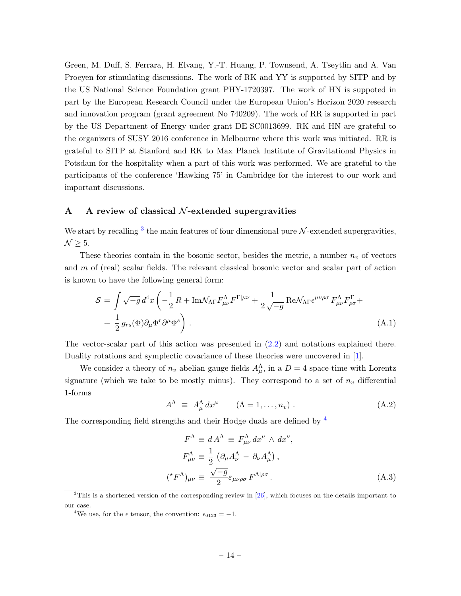Green, M. Duff, S. Ferrara, H. Elvang, Y.-T. Huang, P. Townsend, A. Tseytlin and A. Van Proeyen for stimulating discussions. The work of RK and YY is supported by SITP and by the US National Science Foundation grant PHY-1720397. The work of HN is suppoted in part by the European Research Council under the European Union's Horizon 2020 research and innovation program (grant agreement No 740209). The work of RR is supported in part by the US Department of Energy under grant DE-SC0013699. RK and HN are grateful to the organizers of SUSY 2016 conference in Melbourne where this work was initiated. RR is grateful to SITP at Stanford and RK to Max Planck Institute of Gravitational Physics in Potsdam for the hospitality when a part of this work was performed. We are grateful to the participants of the conference 'Hawking 75' in Cambridge for the interest to our work and important discussions.

#### <span id="page-13-0"></span>A A review of classical  $N$ -extended supergravities

We start by recalling  $3$  the main features of four dimensional pure  $\mathcal{N}$ -extended supergravities,  $\mathcal{N} \geq 5$ .

These theories contain in the bosonic sector, besides the metric, a number  $n_v$  of vectors and m of (real) scalar fields. The relevant classical bosonic vector and scalar part of action is known to have the following general form:

<span id="page-13-3"></span>
$$
S = \int \sqrt{-g} \, d^4x \left( -\frac{1}{2} R + \text{Im} \mathcal{N}_{\Lambda \Gamma} F^{\Lambda}_{\mu\nu} F^{\Gamma|\mu\nu} + \frac{1}{2 \sqrt{-g}} \text{Re} \mathcal{N}_{\Lambda \Gamma} \epsilon^{\mu\nu\rho\sigma} F^{\Lambda}_{\mu\nu} F^{\Gamma}_{\rho\sigma} + \frac{1}{2} g_{rs}(\Phi) \partial_{\mu} \Phi^r \partial^{\mu} \Phi^s \right).
$$
\n(A.1)

The vector-scalar part of this action was presented in [\(2.2\)](#page-4-1) and notations explained there. Duality rotations and symplectic covariance of these theories were uncovered in [\[1\]](#page-26-0).

We consider a theory of  $n_v$  abelian gauge fields  $A_\mu^{\Lambda}$ , in a  $D=4$  space-time with Lorentz signature (which we take to be mostly minus). They correspond to a set of  $n_v$  differential 1-forms

$$
A^{\Lambda} \equiv A_{\mu}^{\Lambda} dx^{\mu} \qquad (\Lambda = 1, \dots, n_{v}). \qquad (A.2)
$$

The corresponding field strengths and their Hodge duals are defined by [4](#page-13-2)

$$
F^{\Lambda} \equiv d A^{\Lambda} \equiv F^{\Lambda}_{\mu\nu} dx^{\mu} \wedge dx^{\nu},
$$
  
\n
$$
F^{\Lambda}_{\mu\nu} \equiv \frac{1}{2} \left( \partial_{\mu} A^{\Lambda}_{\nu} - \partial_{\nu} A^{\Lambda}_{\mu} \right),
$$
  
\n
$$
(*F^{\Lambda})_{\mu\nu} \equiv \frac{\sqrt{-g}}{2} \varepsilon_{\mu\nu\rho\sigma} F^{\Lambda|\rho\sigma}.
$$
\n(A.3)

<span id="page-13-1"></span> $3$ This is a shortened version of the corresponding review in  $[26]$ , which focuses on the details important to our case.

<span id="page-13-2"></span><sup>&</sup>lt;sup>4</sup>We use, for the  $\epsilon$  tensor, the convention:  $\epsilon_{0123} = -1$ .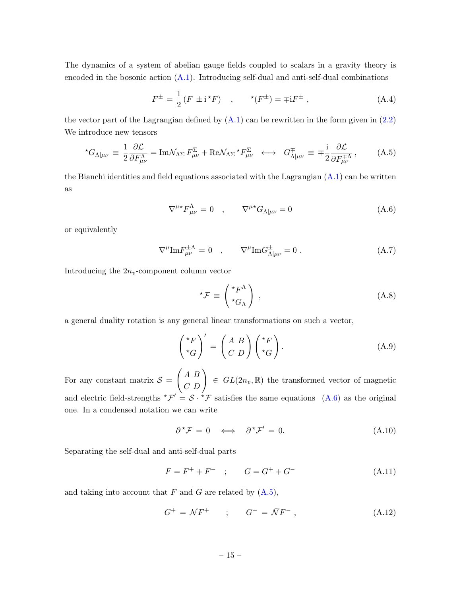The dynamics of a system of abelian gauge fields coupled to scalars in a gravity theory is encoded in the bosonic action  $(A.1)$ . Introducing self-dual and anti-self-dual combinations

$$
F^{\pm} = \frac{1}{2} \left( F \pm i^* F \right) , \qquad ^{\star} (F^{\pm}) = \mp i F^{\pm} , \qquad (A.4)
$$

the vector part of the Lagrangian defined by  $(A.1)$  can be rewritten in the form given in  $(2.2)$ We introduce new tensors

<span id="page-14-0"></span>
$$
{}^{\star}G_{\Lambda|\mu\nu} \equiv \frac{1}{2} \frac{\partial \mathcal{L}}{\partial F^{\Lambda}_{\mu\nu}} = \text{Im}\mathcal{N}_{\Lambda\Sigma} F^{\Sigma}_{\mu\nu} + \text{Re}\mathcal{N}_{\Lambda\Sigma} {}^{\star}F^{\Sigma}_{\mu\nu} \longleftrightarrow G^{\mp}_{\Lambda|\mu\nu} \equiv \mp \frac{\text{i}}{2} \frac{\partial \mathcal{L}}{\partial F^{\mp\Lambda}_{\mu\nu}}, \tag{A.5}
$$

the Bianchi identities and field equations associated with the Lagrangian  $(A.1)$  can be written as

<span id="page-14-1"></span>
$$
\nabla^{\mu*} F^{\Lambda}_{\mu\nu} = 0 \quad , \qquad \nabla^{\mu*} G_{\Lambda|\mu\nu} = 0 \tag{A.6}
$$

or equivalently

$$
\nabla^{\mu} \text{Im} F^{\pm \Lambda}_{\mu\nu} = 0 \quad , \qquad \nabla^{\mu} \text{Im} G^{\pm}_{\Lambda|\mu\nu} = 0 \; . \tag{A.7}
$$

Introducing the  $2n_v$ -component column vector

$$
{}^{\star}\mathcal{F} \equiv \begin{pmatrix} {}^{\star}F^{\Lambda} \\ {}^{\star}G_{\Lambda} \end{pmatrix} , \qquad (A.8)
$$

a general duality rotation is any general linear transformations on such a vector,

<span id="page-14-2"></span>
$$
\begin{pmatrix} {}^{\star}F \\ {}^{\star}G \end{pmatrix}' = \begin{pmatrix} A & B \\ C & D \end{pmatrix} \begin{pmatrix} {}^{\star}F \\ {}^{\star}G \end{pmatrix} . \tag{A.9}
$$

For any constant matrix  $S =$  $\begin{pmatrix} A & B \\ C & D \end{pmatrix} \in GL(2n_v, \mathbb{R})$  the transformed vector of magnetic and electric field-strengths  ${}^{\star}\mathcal{F}' = \mathcal{S} \cdot {}^{\star}\mathcal{F}$  satisfies the same equations [\(A.6\)](#page-14-1) as the original one. In a condensed notation we can write

$$
\partial^{\star} \mathcal{F} = 0 \iff \partial^{\star} \mathcal{F}' = 0. \tag{A.10}
$$

Separating the self-dual and anti-self-dual parts

$$
F = F^{+} + F^{-} \quad ; \qquad G = G^{+} + G^{-} \tag{A.11}
$$

and taking into account that  $F$  and  $G$  are related by  $(A.5)$ ,

<span id="page-14-3"></span>
$$
G^{+} = \mathcal{N}F^{+} \qquad ; \qquad G^{-} = \bar{\mathcal{N}}F^{-} \,, \tag{A.12}
$$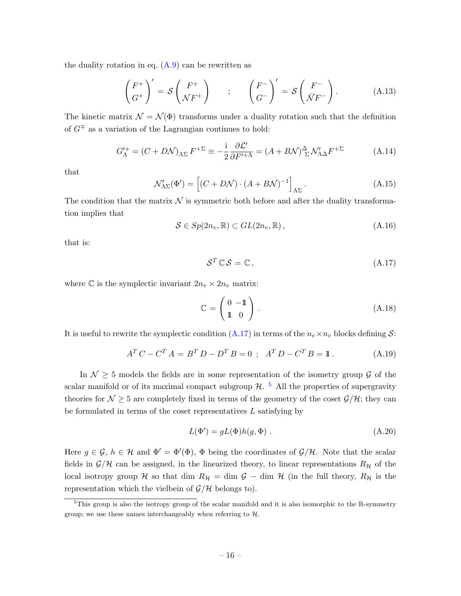the duality rotation in eq.  $(A.9)$  can be rewritten as

<span id="page-15-2"></span>
$$
\begin{pmatrix} F^+ \\ G^+ \end{pmatrix}' = \mathcal{S} \begin{pmatrix} F^+ \\ \mathcal{N} F^+ \end{pmatrix} \qquad ; \qquad \begin{pmatrix} F^- \\ G^- \end{pmatrix}' = \mathcal{S} \begin{pmatrix} F^- \\ \bar{\mathcal{N}} F^- \end{pmatrix} . \tag{A.13}
$$

The kinetic matrix  $\mathcal{N} = \mathcal{N}(\Phi)$  transforms under a duality rotation such that the definition of  $G^{\mp}$  as a variation of the Lagrangian continues to hold:

$$
G_{\Lambda}^{\prime +} = (C + D\mathcal{N})_{\Lambda\Sigma} F^{+\Sigma} \equiv -\frac{\mathrm{i}}{2} \frac{\partial \mathcal{L}^{\prime}}{\partial F^{\prime + \Lambda}} = (A + B\mathcal{N})_{\Sigma}^{\Delta} \mathcal{N}_{\Lambda\Delta}^{\prime} F^{+\Sigma}
$$
(A.14)

that

$$
\mathcal{N}'_{\Lambda\Sigma}(\Phi') = \left[ (C + D\mathcal{N}) \cdot (A + B\mathcal{N})^{-1} \right]_{\Lambda\Sigma}.
$$
\n(A.15)

The condition that the matrix  $\mathcal N$  is symmetric both before and after the duality transformation implies that

$$
S \in Sp(2n_v, \mathbb{R}) \subset GL(2n_v, \mathbb{R}), \qquad (A.16)
$$

that is:

<span id="page-15-0"></span>
$$
S^T \mathbb{C} S = \mathbb{C}, \qquad (A.17)
$$

where C is the symplectic invariant  $2n_v \times 2n_v$  matrix:

$$
\mathbb{C} = \begin{pmatrix} 0 & -\mathbb{1} \\ \mathbb{1} & 0 \end{pmatrix} . \tag{A.18}
$$

It is useful to rewrite the symplectic condition [\(A.17\)](#page-15-0) in terms of the  $n_v \times n_v$  blocks defining S:

<span id="page-15-3"></span>
$$
AT C - CT A = BT D - DT B = 0 ; AT D - CT B = 1.
$$
 (A.19)

In  $\mathcal{N} \geq 5$  models the fields are in some representation of the isometry group  $\mathcal{G}$  of the scalar manifold or of its maximal compact subgroup  $\mathcal{H}$ . <sup>[5](#page-15-1)</sup> All the properties of supergravity theories for  $\mathcal{N} \geq 5$  are completely fixed in terms of the geometry of the coset  $\mathcal{G}/\mathcal{H}$ ; they can be formulated in terms of the coset representatives L satisfying by

$$
L(\Phi') = gL(\Phi)h(g, \Phi) . \tag{A.20}
$$

Here  $g \in \mathcal{G}$ ,  $h \in \mathcal{H}$  and  $\Phi' = \Phi'(\Phi)$ ,  $\Phi$  being the coordinates of  $\mathcal{G}/\mathcal{H}$ . Note that the scalar fields in  $\mathcal{G}/\mathcal{H}$  can be assigned, in the linearized theory, to linear representations  $R_{\mathcal{H}}$  of the local isotropy group H so that dim  $R_{\mathcal{H}} = \dim \mathcal{G} - \dim \mathcal{H}$  (in the full theory,  $R_{\mathcal{H}}$  is the representation which the vielbein of  $\mathcal{G}/\mathcal{H}$  belongs to).

<span id="page-15-1"></span> $5$ This group is also the isotropy group of the scalar manifold and it is also isomorphic to the R-symmetry group; we use these names interchangeably when referring to  $H$ .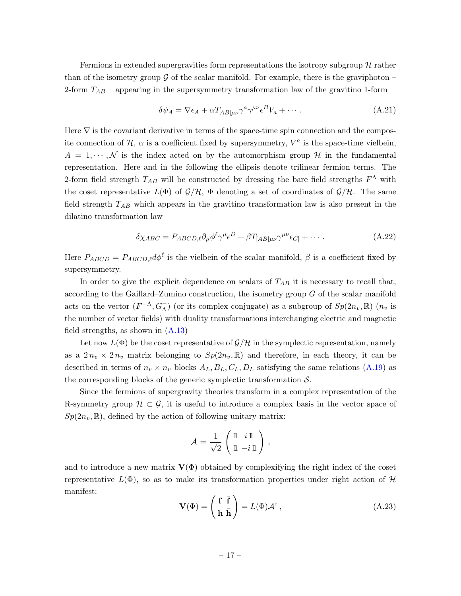Fermions in extended supergravities form representations the isotropy subgroup  $\mathcal{H}$  rather than of the isometry group  $\mathcal G$  of the scalar manifold. For example, there is the graviphoton – 2-form  $T_{AB}$  – appearing in the supersymmetry transformation law of the gravitino 1-form

$$
\delta \psi_A = \nabla \epsilon_A + \alpha T_{AB|\mu\nu} \gamma^a \gamma^{\mu\nu} \epsilon^B V_a + \cdots. \tag{A.21}
$$

Here  $\nabla$  is the covariant derivative in terms of the space-time spin connection and the composite connection of  $H$ ,  $\alpha$  is a coefficient fixed by supersymmetry,  $V^a$  is the space-time vielbein,  $A = 1, \dots, N$  is the index acted on by the automorphism group H in the fundamental representation. Here and in the following the ellipsis denote trilinear fermion terms. The 2-form field strength  $T_{AB}$  will be constructed by dressing the bare field strengths  $F^{\Lambda}$  with the coset representative  $L(\Phi)$  of  $\mathcal{G}/\mathcal{H}$ ,  $\Phi$  denoting a set of coordinates of  $\mathcal{G}/\mathcal{H}$ . The same field strength  $T_{AB}$  which appears in the gravitino transformation law is also present in the dilatino transformation law

$$
\delta \chi_{ABC} = P_{ABCD,\ell} \partial_{\mu} \phi^{\ell} \gamma^{\mu} \epsilon^D + \beta T_{[AB|\mu\nu} \gamma^{\mu\nu} \epsilon_{C]} + \cdots \tag{A.22}
$$

Here  $P_{ABCD} = P_{ABCD,\ell} d\phi^{\ell}$  is the vielbein of the scalar manifold,  $\beta$  is a coefficient fixed by supersymmetry.

In order to give the explicit dependence on scalars of  $T_{AB}$  it is necessary to recall that, according to the Gaillard–Zumino construction, the isometry group  $G$  of the scalar manifold acts on the vector  $(F^{-\Lambda}, G_{\Lambda}^-)$  (or its complex conjugate) as a subgroup of  $Sp(2n_v, \mathbb{R})$   $(n_v$  is the number of vector fields) with duality transformations interchanging electric and magnetic field strengths, as shown in [\(A.13\)](#page-15-2)

Let now  $L(\Phi)$  be the coset representative of  $\mathcal{G}/\mathcal{H}$  in the symplectic representation, namely as a  $2 n_v \times 2 n_v$  matrix belonging to  $Sp(2n_v, \mathbb{R})$  and therefore, in each theory, it can be described in terms of  $n_v \times n_v$  blocks  $A_L, B_L, C_L, D_L$  satisfying the same relations [\(A.19\)](#page-15-3) as the corresponding blocks of the generic symplectic transformation  $S$ .

Since the fermions of supergravity theories transform in a complex representation of the R-symmetry group  $\mathcal{H} \subset \mathcal{G}$ , it is useful to introduce a complex basis in the vector space of  $Sp(2n_v, \mathbb{R})$ , defined by the action of following unitary matrix:

<span id="page-16-0"></span>
$$
\mathcal{A} = \frac{1}{\sqrt{2}} \left( \begin{array}{cc} \mathbb{1} & i \mathbb{1} \\ \mathbb{1} & -i \mathbb{1} \end{array} \right),
$$

and to introduce a new matrix  $V(\Phi)$  obtained by complexifying the right index of the coset representative  $L(\Phi)$ , so as to make its transformation properties under right action of H manifest:

$$
\mathbf{V}(\Phi) = \begin{pmatrix} \mathbf{f} & \bar{\mathbf{f}} \\ \mathbf{h} & \bar{\mathbf{h}} \end{pmatrix} = L(\Phi) \mathcal{A}^{\dagger}, \tag{A.23}
$$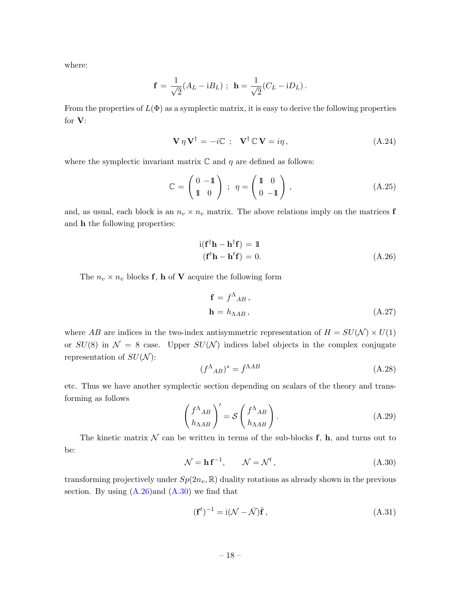where:

$$
\mathbf{f} = \frac{1}{\sqrt{2}} (A_L - iB_L) ; \ \mathbf{h} = \frac{1}{\sqrt{2}} (C_L - iD_L) .
$$

From the properties of  $L(\Phi)$  as a symplectic matrix, it is easy to derive the following properties for V:

$$
\mathbf{V}\,\eta\,\mathbf{V}^{\dagger} = -i\mathbb{C} \,;\quad \mathbf{V}^{\dagger}\,\mathbb{C}\,\mathbf{V} = i\eta \,, \tag{A.24}
$$

where the symplectic invariant matrix  $\mathbb C$  and  $\eta$  are defined as follows:

$$
\mathbb{C} = \begin{pmatrix} 0 & -1 \\ 1 & 0 \end{pmatrix} ; \eta = \begin{pmatrix} 1 & 0 \\ 0 & -1 \end{pmatrix}, \qquad (A.25)
$$

and, as usual, each block is an  $n_v \times n_v$  matrix. The above relations imply on the matrices **f** and h the following properties:

<span id="page-17-0"></span>
$$
i(\mathbf{f}^{\dagger}\mathbf{h} - \mathbf{h}^{\dagger}\mathbf{f}) = 1(\mathbf{f}^{\dagger}\mathbf{h} - \mathbf{h}^{\dagger}\mathbf{f}) = 0.
$$
 (A.26)

The  $n_v \times n_v$  blocks **f**, **h** of **V** acquire the following form

$$
\mathbf{f} = f^{\Lambda}{}_{AB}, \n\mathbf{h} = h_{\Lambda AB},
$$
\n(A.27)

where AB are indices in the two-index antisymmetric representation of  $H = SU(N) \times U(1)$ or  $SU(8)$  in  $\mathcal{N} = 8$  case. Upper  $SU(\mathcal{N})$  indices label objects in the complex conjugate representation of  $SU(N)$ :

$$
(f^{\Lambda}{}_{AB})^* = \bar{f}^{\Lambda AB} \tag{A.28}
$$

etc. Thus we have another symplectic section depending on scalars of the theory and transforming as follows

$$
\begin{pmatrix} f^{\Lambda}{}_{AB} \\ h_{\Lambda AB} \end{pmatrix}' = \mathcal{S} \begin{pmatrix} f^{\Lambda}{}_{AB} \\ h_{\Lambda AB} \end{pmatrix} . \tag{A.29}
$$

The kinetic matrix  $\mathcal N$  can be written in terms of the sub-blocks f, h, and turns out to be:

<span id="page-17-1"></span>
$$
\mathcal{N} = \mathbf{h} \, \mathbf{f}^{-1}, \qquad \mathcal{N} = \mathcal{N}^t \,, \tag{A.30}
$$

transforming projectively under  $Sp(2n_v, \mathbb{R})$  duality rotations as already shown in the previous section. By using  $(A.26)$  and  $(A.30)$  we find that

$$
(\mathbf{f}^t)^{-1} = \mathrm{i}(\mathcal{N} - \bar{\mathcal{N}})\bar{\mathbf{f}},\tag{A.31}
$$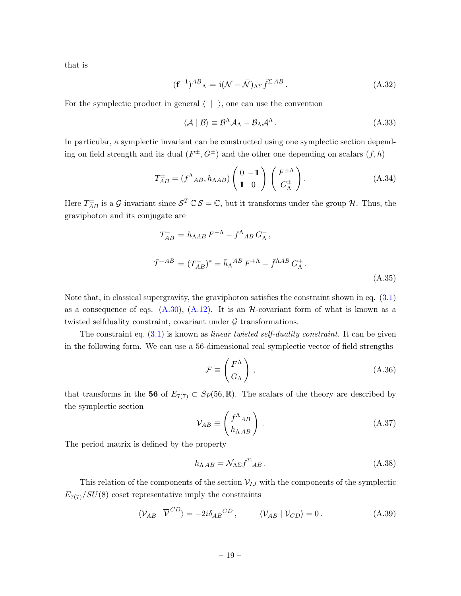that is

<span id="page-18-2"></span>
$$
(\mathbf{f}^{-1})^{AB}_{\ \Lambda} = \mathrm{i}(\mathcal{N} - \bar{\mathcal{N}})_{\Lambda\Sigma} \bar{f}^{\Sigma \, AB} \,. \tag{A.32}
$$

For the symplectic product in general  $\langle | \rangle$ , one can use the convention

$$
\langle \mathcal{A} | \mathcal{B} \rangle \equiv \mathcal{B}^{\Lambda} \mathcal{A}_{\Lambda} - \mathcal{B}_{\Lambda} \mathcal{A}^{\Lambda} . \tag{A.33}
$$

In particular, a symplectic invariant can be constructed using one symplectic section depending on field strength and its dual  $(F^{\pm}, G^{\pm})$  and the other one depending on scalars  $(f, h)$ 

<span id="page-18-0"></span>
$$
T_{AB}^{\pm} = (f^{\Lambda}_{AB}, h_{\Lambda AB}) \begin{pmatrix} 0 & -\mathbb{1} \\ \mathbb{1} & 0 \end{pmatrix} \begin{pmatrix} F^{\pm \Lambda} \\ G^{\pm}_{\Lambda} \end{pmatrix} . \tag{A.34}
$$

Here  $T_{AB}^{\pm}$  is a *G*-invariant since  $S^T \mathbb{C} S = \mathbb{C}$ , but it transforms under the group  $\mathcal{H}$ . Thus, the graviphoton and its conjugate are

<span id="page-18-1"></span>
$$
T_{AB}^{-} = h_{\Lambda AB} F^{-\Lambda} - f^{\Lambda}{}_{AB} G_{\Lambda}^{-},
$$
  

$$
\bar{T}^{-AB} = (T_{AB}^{-})^* = \bar{h}_{\Lambda}{}^{AB} F^{+\Lambda} - \bar{f}^{\Lambda AB} G_{\Lambda}^{+}.
$$
 (A.35)

Note that, in classical supergravity, the graviphoton satisfies the constraint shown in eq. [\(3.1\)](#page-7-6) as a consequence of eqs.  $(A.30)$ ,  $(A.12)$ . It is an H-covariant form of what is known as a twisted selfduality constraint, covariant under  $G$  transformations.

The constraint eq.  $(3.1)$  is known as *linear twisted self-duality constraint*. It can be given in the following form. We can use a 56-dimensional real symplectic vector of field strengths

$$
\mathcal{F} \equiv \begin{pmatrix} F^{\Lambda} \\ G_{\Lambda} \end{pmatrix}, \tag{A.36}
$$

that transforms in the 56 of  $E_{7(7)} \subset Sp(56, \mathbb{R})$ . The scalars of the theory are described by the symplectic section

$$
\mathcal{V}_{AB} \equiv \begin{pmatrix} f^{\Lambda}{}_{AB} \\ h_{\Lambda\,AB} \end{pmatrix} . \tag{A.37}
$$

The period matrix is defined by the property

$$
h_{\Lambda AB} = \mathcal{N}_{\Lambda \Sigma} f^{\Sigma}{}_{AB} \,. \tag{A.38}
$$

This relation of the components of the section  $V_{IJ}$  with the components of the symplectic  $E_{7(7)}/SU(8)$  coset representative imply the constraints

$$
\langle \mathcal{V}_{AB} | \overline{\mathcal{V}}^{CD} \rangle = -2i \delta_{AB}{}^{CD}, \qquad \langle \mathcal{V}_{AB} | \mathcal{V}_{CD} \rangle = 0. \qquad (A.39)
$$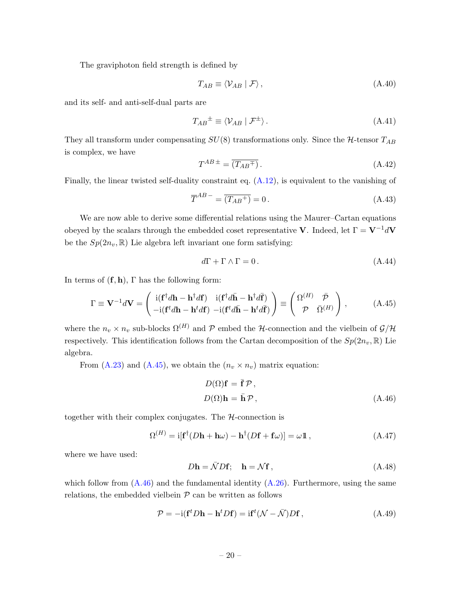The graviphoton field strength is defined by

<span id="page-19-2"></span>
$$
T_{AB} \equiv \langle V_{AB} | \mathcal{F} \rangle, \tag{A.40}
$$

and its self- and anti-self-dual parts are

$$
T_{AB}^{\pm} \equiv \langle V_{AB} | \mathcal{F}^{\pm} \rangle. \tag{A.41}
$$

They all transform under compensating  $SU(8)$  transformations only. Since the  $H$ -tensor  $T_{AB}$ is complex, we have

$$
T^{AB \pm} = \overline{(T_{AB}^{\mp})} \,. \tag{A.42}
$$

Finally, the linear twisted self-duality constraint eq. [\(A.12\)](#page-14-3), is equivalent to the vanishing of

$$
\overline{T}^{AB} = \overline{(T_{AB}^+)} = 0. \tag{A.43}
$$

We are now able to derive some differential relations using the Maurer–Cartan equations obeyed by the scalars through the embedded coset representative V. Indeed, let  $\Gamma = \mathbf{V}^{-1} d\mathbf{V}$ be the  $Sp(2n_v, \mathbb{R})$  Lie algebra left invariant one form satisfying:

$$
d\Gamma + \Gamma \wedge \Gamma = 0. \tag{A.44}
$$

In terms of  $(f, h)$ ,  $\Gamma$  has the following form:

<span id="page-19-0"></span>
$$
\Gamma \equiv \mathbf{V}^{-1}d\mathbf{V} = \begin{pmatrix} \mathrm{i}(\mathbf{f}^{\dagger}d\mathbf{h} - \mathbf{h}^{\dagger}d\mathbf{f}) & \mathrm{i}(\mathbf{f}^{\dagger}d\bar{\mathbf{h}} - \mathbf{h}^{\dagger}d\bar{\mathbf{f}}) \\ -\mathrm{i}(\mathbf{f}^{\dagger}d\mathbf{h} - \mathbf{h}^{\dagger}d\mathbf{f}) & -\mathrm{i}(\mathbf{f}^{\dagger}d\bar{\mathbf{h}} - \mathbf{h}^{\dagger}d\bar{\mathbf{f}}) \end{pmatrix} \equiv \begin{pmatrix} \Omega^{(H)} & \bar{\mathcal{P}} \\ \mathcal{P} & \bar{\Omega}^{(H)} \end{pmatrix}, \quad (A.45)
$$

where the  $n_v \times n_v$  sub-blocks  $\Omega^{(H)}$  and P embed the H-connection and the vielbein of  $\mathcal{G}/\mathcal{H}$ respectively. This identification follows from the Cartan decomposition of the  $Sp(2n_v, \mathbb{R})$  Lie algebra.

From [\(A.23\)](#page-16-0) and [\(A.45\)](#page-19-0), we obtain the  $(n_v \times n_v)$  matrix equation:

<span id="page-19-1"></span>
$$
D(\Omega)\mathbf{f} = \bar{\mathbf{f}} \mathcal{P},
$$
  

$$
D(\Omega)\mathbf{h} = \bar{\mathbf{h}} \mathcal{P},
$$
 (A.46)

together with their complex conjugates. The  $H$ -connection is

$$
\Omega^{(H)} = i[\mathbf{f}^{\dagger}(D\mathbf{h} + \mathbf{h}\omega) - \mathbf{h}^{\dagger}(D\mathbf{f} + \mathbf{f}\omega)] = \omega \mathbb{1}, \qquad (A.47)
$$

where we have used:

$$
D\mathbf{h} = \bar{\mathcal{N}} D\mathbf{f}; \quad \mathbf{h} = \mathcal{N}\mathbf{f}, \tag{A.48}
$$

which follow from  $(A.46)$  and the fundamental identity  $(A.26)$ . Furthermore, using the same relations, the embedded vielbein  $P$  can be written as follows

$$
\mathcal{P} = -i(\mathbf{f}^t D\mathbf{h} - \mathbf{h}^t D\mathbf{f}) = i\mathbf{f}^t (\mathcal{N} - \bar{\mathcal{N}}) D\mathbf{f},
$$
\n(A.49)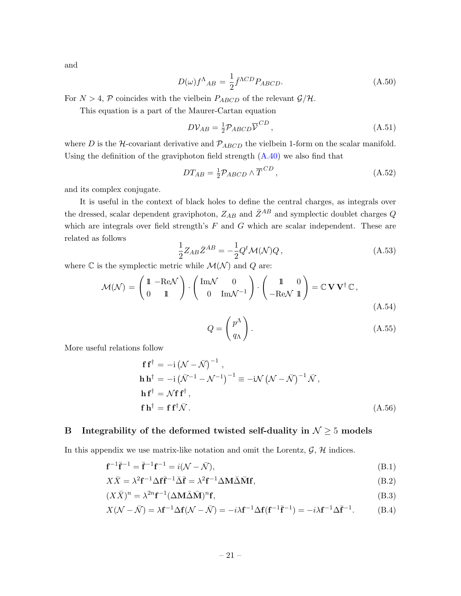and

$$
D(\omega)f^{\Lambda}{}_{AB} = \frac{1}{2}\bar{f}^{\Lambda CD}P_{ABCD}.\tag{A.50}
$$

For  $N > 4$ , P coincides with the vielbein  $P_{ABCD}$  of the relevant  $\mathcal{G}/\mathcal{H}$ .

This equation is a part of the Maurer-Cartan equation

$$
D\mathcal{V}_{AB} = \frac{1}{2} \mathcal{P}_{ABCD} \overline{\mathcal{V}}^{CD}, \qquad (A.51)
$$

where D is the H-covariant derivative and  $P_{ABCD}$  the vielbein 1-form on the scalar manifold. Using the definition of the graviphoton field strength  $(A.40)$  we also find that

$$
DT_{AB} = \frac{1}{2} \mathcal{P}_{ABCD} \wedge \overline{T}^{CD}, \qquad (A.52)
$$

and its complex conjugate.

It is useful in the context of black holes to define the central charges, as integrals over the dressed, scalar dependent graviphoton,  $Z_{AB}$  and  $\bar{Z}^{AB}$  and symplectic doublet charges Q which are integrals over field strength's  $F$  and  $G$  which are scalar independent. These are related as follows

$$
\frac{1}{2}Z_{AB}\bar{Z}^{AB} = -\frac{1}{2}Q^t\mathcal{M}(\mathcal{N})Q\,,\tag{A.53}
$$

where  $\mathbb C$  is the symplectic metric while  $\mathcal M(\mathcal N)$  and  $Q$  are:

$$
\mathcal{M}(\mathcal{N}) = \begin{pmatrix} 1 & -\text{Re}\mathcal{N} \\ 0 & 1 \end{pmatrix} \cdot \begin{pmatrix} \text{Im}\mathcal{N} & 0 \\ 0 & \text{Im}\mathcal{N}^{-1} \end{pmatrix} \cdot \begin{pmatrix} 1 & 0 \\ -\text{Re}\mathcal{N} & 1 \end{pmatrix} = \mathbb{C}\,\mathbf{V}\,\mathbf{V}^{\dagger}\,\mathbb{C},\tag{A.54}
$$

$$
Q = \begin{pmatrix} p^{\Lambda} \\ q_{\Lambda} \end{pmatrix} . \tag{A.55}
$$

More useful relations follow

$$
\mathbf{f} \mathbf{f}^{\dagger} = -i \left( \mathcal{N} - \bar{\mathcal{N}} \right)^{-1},
$$
\n
$$
\mathbf{h} \mathbf{h}^{\dagger} = -i \left( \bar{\mathcal{N}}^{-1} - \mathcal{N}^{-1} \right)^{-1} \equiv -i \mathcal{N} \left( \mathcal{N} - \bar{\mathcal{N}} \right)^{-1} \bar{\mathcal{N}},
$$
\n
$$
\mathbf{h} \mathbf{f}^{\dagger} = \mathcal{N} \mathbf{f} \mathbf{f}^{\dagger},
$$
\n
$$
\mathbf{f} \mathbf{h}^{\dagger} = \mathbf{f} \mathbf{f}^{\dagger} \bar{\mathcal{N}}.
$$
\n(A.56)

#### <span id="page-20-0"></span>B Integrability of the deformed twisted self-duality in  $N \geq 5$  models

In this appendix we use matrix-like notation and omit the Lorentz,  $\mathcal{G}, \mathcal{H}$  indices.

$$
\mathbf{f}^{-1}\overline{\mathbf{f}}^{-1} = \overline{\mathbf{f}}^{-1}\mathbf{f}^{-1} = i(\mathcal{N} - \overline{\mathcal{N}}),
$$
\n(B.1)

$$
X\bar{X} = \lambda^2 \mathbf{f}^{-1} \Delta \mathbf{f} \bar{\mathbf{f}}^{-1} \bar{\Delta} \bar{\mathbf{f}} = \lambda^2 \mathbf{f}^{-1} \Delta \mathbf{M} \bar{\Delta} \bar{\mathbf{M}} \mathbf{f},
$$
(B.2)

$$
(X\bar{X})^n = \lambda^{2n} \mathbf{f}^{-1} (\Delta \mathbf{M} \bar{\Delta} \bar{\mathbf{M}})^n \mathbf{f},\tag{B.3}
$$

$$
X(\mathcal{N} - \bar{\mathcal{N}}) = \lambda \mathbf{f}^{-1} \Delta \mathbf{f}(\mathcal{N} - \bar{\mathcal{N}}) = -i\lambda \mathbf{f}^{-1} \Delta \mathbf{f}(\mathbf{f}^{-1} \bar{\mathbf{f}}^{-1}) = -i\lambda \mathbf{f}^{-1} \Delta \bar{\mathbf{f}}^{-1}.
$$
 (B.4)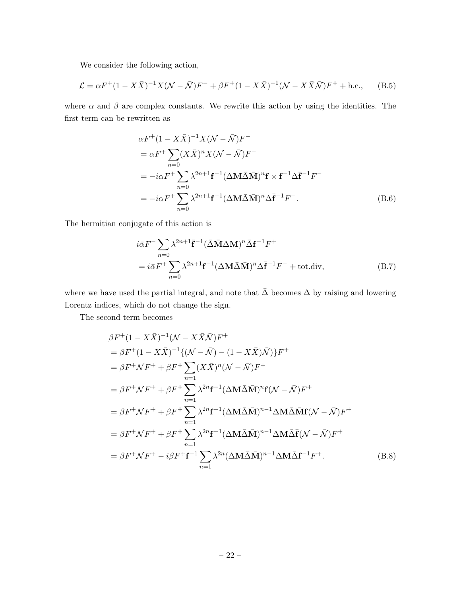We consider the following action,

$$
\mathcal{L} = \alpha F^{+} (1 - X\bar{X})^{-1} X (\mathcal{N} - \bar{\mathcal{N}}) F^{-} + \beta F^{+} (1 - X\bar{X})^{-1} (\mathcal{N} - X\bar{X}\bar{\mathcal{N}}) F^{+} + \text{h.c.}, \quad (B.5)
$$

where  $\alpha$  and  $\beta$  are complex constants. We rewrite this action by using the identities. The first term can be rewritten as

$$
\alpha F^{+}(1 - X\bar{X})^{-1}X(\mathcal{N} - \bar{\mathcal{N}})F^{-}
$$
  
\n
$$
= \alpha F^{+} \sum_{n=0} (X\bar{X})^{n}X(\mathcal{N} - \bar{\mathcal{N}})F^{-}
$$
  
\n
$$
= -i\alpha F^{+} \sum_{n=0} \lambda^{2n+1} \mathbf{f}^{-1}(\Delta \mathbf{M} \bar{\Delta} \bar{\mathbf{M}})^{n} \mathbf{f} \times \mathbf{f}^{-1} \Delta \bar{\mathbf{f}}^{-1} F^{-}
$$
  
\n
$$
= -i\alpha F^{+} \sum_{n=0} \lambda^{2n+1} \mathbf{f}^{-1}(\Delta \mathbf{M} \bar{\Delta} \bar{\mathbf{M}})^{n} \Delta \bar{\mathbf{f}}^{-1} F^{-}.
$$
 (B.6)

The hermitian conjugate of this action is

$$
i\bar{\alpha}F^{-}\sum_{n=0} \lambda^{2n+1}\bar{\mathbf{f}}^{-1}(\bar{\Delta}\bar{\mathbf{M}}\Delta\mathbf{M})^{n}\bar{\Delta}\mathbf{f}^{-1}F^{+}
$$
  
=  $i\bar{\alpha}F^{+}\sum_{n=0} \lambda^{2n+1}\mathbf{f}^{-1}(\Delta\mathbf{M}\bar{\Delta}\bar{\mathbf{M}})^{n}\Delta\bar{\mathbf{f}}^{-1}F^{-} + \text{tot.div},$  (B.7)

where we have used the partial integral, and note that  $\bar{\Delta}$  becomes  $\Delta$  by raising and lowering Lorentz indices, which do not change the sign.

The second term becomes

$$
\beta F^{+}(1 - X\bar{X})^{-1}(\mathcal{N} - X\bar{X}\bar{\mathcal{N}})F^{+}
$$
\n
$$
= \beta F^{+}(1 - X\bar{X})^{-1}\{(\mathcal{N} - \bar{\mathcal{N}}) - (1 - X\bar{X})\bar{\mathcal{N}}\}F^{+}
$$
\n
$$
= \beta F^{+}\mathcal{N}F^{+} + \beta F^{+}\sum_{n=1}^{n=1} (X\bar{X})^{n}(\mathcal{N} - \bar{\mathcal{N}})F^{+}
$$
\n
$$
= \beta F^{+}\mathcal{N}F^{+} + \beta F^{+}\sum_{n=1}^{n=1} \lambda^{2n} \mathbf{f}^{-1}(\Delta \mathbf{M}\bar{\Delta}\bar{\mathbf{M}})^{n} \mathbf{f}(\mathcal{N} - \bar{\mathcal{N}})F^{+}
$$
\n
$$
= \beta F^{+}\mathcal{N}F^{+} + \beta F^{+}\sum_{n=1}^{n=1} \lambda^{2n} \mathbf{f}^{-1}(\Delta \mathbf{M}\bar{\Delta}\bar{\mathbf{M}})^{n-1}\Delta \mathbf{M}\bar{\Delta}\bar{\mathbf{f}}(\mathcal{N} - \bar{\mathcal{N}})F^{+}
$$
\n
$$
= \beta F^{+}\mathcal{N}F^{+} + \beta F^{+}\sum_{n=1}^{n=1} \lambda^{2n} \mathbf{f}^{-1}(\Delta \mathbf{M}\bar{\Delta}\bar{\mathbf{M}})^{n-1}\Delta \mathbf{M}\bar{\Delta}\bar{\mathbf{f}}(\mathcal{N} - \bar{\mathcal{N}})F^{+}
$$
\n
$$
= \beta F^{+}\mathcal{N}F^{+} - i\beta F^{+}\mathbf{f}^{-1}\sum_{n=1}^{n=1} \lambda^{2n}(\Delta \mathbf{M}\bar{\Delta}\bar{\mathbf{M}})^{n-1}\Delta \mathbf{M}\bar{\Delta}\mathbf{f}^{-1}F^{+}.
$$
\n(B.8)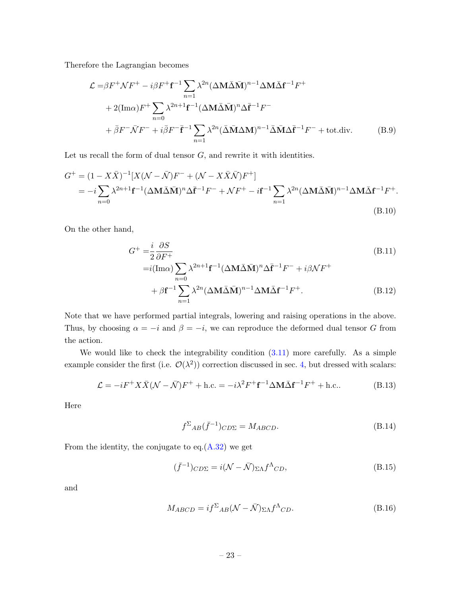Therefore the Lagrangian becomes

$$
\mathcal{L} = \beta F^{+} \mathcal{N} F^{+} - i \beta F^{+} \mathbf{f}^{-1} \sum_{n=1}^{\infty} \lambda^{2n} (\Delta \mathbf{M} \bar{\Delta} \bar{\mathbf{M}})^{n-1} \Delta \mathbf{M} \bar{\Delta} \mathbf{f}^{-1} F^{+}
$$
  
+ 2(Im $\alpha$ )  $F^{+} \sum_{n=0}^{\infty} \lambda^{2n+1} \mathbf{f}^{-1} (\Delta \mathbf{M} \bar{\Delta} \bar{\mathbf{M}})^{n} \Delta \bar{\mathbf{f}}^{-1} F^{-}$   
+  $\bar{\beta} F^{-} \bar{\mathcal{N}} F^{-} + i \bar{\beta} F^{-} \bar{\mathbf{f}}^{-1} \sum_{n=1}^{\infty} \lambda^{2n} (\bar{\Delta} \bar{\mathbf{M}} \Delta \mathbf{M})^{n-1} \bar{\Delta} \bar{\mathbf{M}} \Delta \bar{\mathbf{f}}^{-1} F^{-} + \text{tot. div.}$  (B.9)

Let us recall the form of dual tensor  $G$ , and rewrite it with identities.

$$
G^{+} = (1 - X\bar{X})^{-1}[X(\mathcal{N} - \bar{\mathcal{N}})F^{-} + (\mathcal{N} - X\bar{X}\bar{\mathcal{N}})F^{+}]
$$
  
=  $-i\sum_{n=0} \lambda^{2n+1} \mathbf{f}^{-1} (\Delta \mathbf{M} \bar{\Delta} \bar{\mathbf{M}})^{n} \Delta \bar{\mathbf{f}}^{-1}F^{-} + \mathcal{N}F^{+} - i\mathbf{f}^{-1} \sum_{n=1} \lambda^{2n} (\Delta \mathbf{M} \bar{\Delta} \bar{\mathbf{M}})^{n-1} \Delta \mathbf{M} \bar{\Delta} \mathbf{f}^{-1}F^{+}.$   
(B.10)

On the other hand,

$$
G^{+} = \frac{i}{2} \frac{\partial S}{\partial F^{+}}
$$
  
=  $i(\text{Im}\alpha) \sum_{n} \lambda^{2n+1} \mathbf{f}^{-1} (\Delta \mathbf{M} \bar{\Delta} \bar{\mathbf{M}})^{n} \Delta \bar{\mathbf{f}}^{-1} F^{-} + i\beta \mathcal{N} F^{+}$  (B.11)

$$
+\beta \mathbf{f}^{-1} \sum_{n=1}^{n=0} \lambda^{2n} (\Delta \mathbf{M} \bar{\Delta} \bar{\mathbf{M}})^{n-1} \Delta \mathbf{M} \bar{\Delta} \mathbf{f}^{-1} F^{+}.
$$
 (B.12)

Note that we have performed partial integrals, lowering and raising operations in the above. Thus, by choosing  $\alpha = -i$  and  $\beta = -i$ , we can reproduce the deformed dual tensor G from the action.

We would like to check the integrability condition  $(3.11)$  more carefully. As a simple example consider the first (i.e.  $\mathcal{O}(\lambda^2)$ ) correction discussed in sec. [4,](#page-8-0) but dressed with scalars:

$$
\mathcal{L} = -iF^{+}X\bar{X}(\mathcal{N} - \bar{\mathcal{N}})F^{+} + \text{h.c.} = -i\lambda^{2}F^{+}\mathbf{f}^{-1}\Delta\mathbf{M}\bar{\Delta}\mathbf{f}^{-1}F^{+} + \text{h.c.} \tag{B.13}
$$

Here

$$
f^{\Sigma}{}_{AB}(\bar{f}^{-1}){}_{C D \Sigma} = M_{ABCD}.\tag{B.14}
$$

From the identity, the conjugate to eq.[\(A.32\)](#page-18-2) we get

$$
(\bar{f}^{-1})_{CD\Sigma} = i(\mathcal{N} - \bar{\mathcal{N}})_{\Sigma\Lambda} f^{\Lambda}{}_{CD},
$$
\n(B.15)

and

$$
M_{ABCD} = i f^{\Sigma}{}_{AB} (\mathcal{N} - \bar{\mathcal{N}})_{\Sigma\Lambda} f^{\Lambda}{}_{CD}.
$$
 (B.16)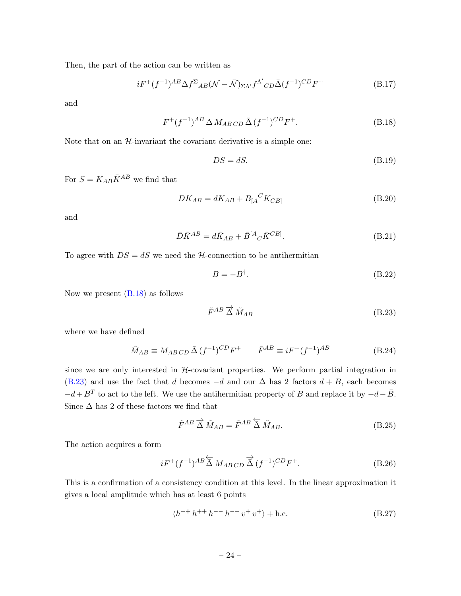Then, the part of the action can be written as

$$
iF^+(f^{-1})^{AB}\Delta f^{\Sigma}{}_{AB}(\mathcal{N}-\bar{\mathcal{N}})_{\Sigma\Lambda'}f^{\Lambda'}{}_{CD}\bar{\Delta}(f^{-1})^{CD}F^+\tag{B.17}
$$

and

$$
F^+(f^{-1})^{AB} \Delta M_{ABCD} \bar{\Delta} (f^{-1})^{CD} F^+.
$$
 (B.18)

Note that on an  $H$ -invariant the covariant derivative is a simple one:

<span id="page-23-0"></span>
$$
DS = dS. \tag{B.19}
$$

For  $S = K_{AB}\bar{K}^{AB}$  we find that

$$
DK_{AB} = dK_{AB} + B_{[A}{}^{C}K_{CB]}
$$
\n(B.20)

and

$$
\bar{D}\bar{K}^{AB} = d\bar{K}_{AB} + \bar{B}^{[A}{}_{C}\bar{K}^{CB]}.
$$
\n(B.21)

To agree with  $DS = dS$  we need the *H*-connection to be antihermitian

<span id="page-23-1"></span>
$$
B = -B^{\dagger}.
$$
 (B.22)

Now we present [\(B.18\)](#page-23-0) as follows

$$
\tilde{F}^{AB} \overrightarrow{\Delta} \tilde{M}_{AB} \tag{B.23}
$$

where we have defined

$$
\tilde{M}_{AB} \equiv M_{AB\ CD} \,\bar{\Delta} \,(f^{-1})^{CD} F^+ \qquad \tilde{F}^{AB} \equiv i F^+ (f^{-1})^{AB} \tag{B.24}
$$

since we are only interested in  $H$ -covariant properties. We perform partial integration in [\(B.23\)](#page-23-1) and use the fact that d becomes  $-d$  and our  $\Delta$  has 2 factors  $d + B$ , each becomes  $-d + B<sup>T</sup>$  to act to the left. We use the antihermitian property of B and replace it by  $-d-\bar{B}$ . Since  $\Delta$  has 2 of these factors we find that

$$
\tilde{F}^{AB} \overrightarrow{\Delta} \tilde{M}_{AB} = \tilde{F}^{AB} \overleftarrow{\Delta} \tilde{M}_{AB}.
$$
\n(B.25)

The action acquires a form

$$
iF^+(f^{-1})^{AB} \overleftarrow{\Delta} M_{ABCD} \overrightarrow{\Delta} (f^{-1})^{CD} F^+.
$$
 (B.26)

This is a confirmation of a consistency condition at this level. In the linear approximation it gives a local amplitude which has at least 6 points

$$
\langle h^{++}h^{++}h^{--}h^{--}v^+v^+\rangle + \text{h.c.}
$$
 (B.27)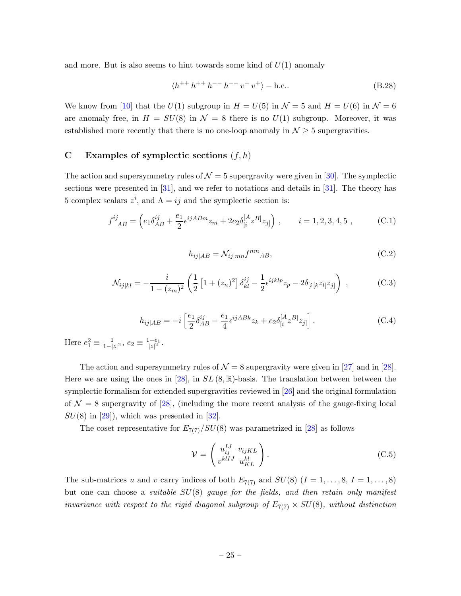and more. But is also seems to hint towards some kind of  $U(1)$  anomaly

$$
\langle h^{++} h^{++} h^{--} h^{--} v^+ v^+ \rangle - \text{h.c.}.
$$
 (B.28)

We know from [\[10\]](#page-27-1) that the  $U(1)$  subgroup in  $H = U(5)$  in  $\mathcal{N} = 5$  and  $H = U(6)$  in  $\mathcal{N} = 6$ are anomaly free, in  $H = SU(8)$  in  $\mathcal{N} = 8$  there is no  $U(1)$  subgroup. Moreover, it was established more recently that there is no one-loop anomaly in  $\mathcal{N} \geq 5$  supergravities.

# <span id="page-24-0"></span>C Examples of symplectic sections  $(f, h)$

The action and supersymmetry rules of  $\mathcal{N} = 5$  supergravity were given in [\[30\]](#page-28-1). The symplectic sections were presented in [\[31\]](#page-28-2), and we refer to notations and details in [\[31\]](#page-28-2). The theory has 5 complex scalars  $z^i$ , and  $Λ = ij$  and the symplectic section is:

$$
f^{ij}_{AB} = \left( e_1 \delta_{AB}^{ij} + \frac{e_1}{2} \epsilon^{ijABm} z_m + 2e_2 \delta_{[i}^{[A} z^{B]} z_{j]} \right) , \qquad i = 1, 2, 3, 4, 5 , \qquad (C.1)
$$

$$
h_{ij|AB} = \mathcal{N}_{ij|mn} f^{mn}{}_{AB},\tag{C.2}
$$

$$
\mathcal{N}_{ij|kl} = -\frac{i}{1 - (z_m)^2} \left( \frac{1}{2} \left[ 1 + (z_n)^2 \right] \delta_{kl}^{ij} - \frac{1}{2} \epsilon^{ijklp} z_p - 2\delta_{[i\,[k} z_{l]} z_{j]} \right) , \qquad (C.3)
$$

$$
h_{ij|AB} = -i \left[ \frac{e_1}{2} \delta_{AB}^{ij} - \frac{e_1}{4} \epsilon^{ijABk} z_k + e_2 \delta_{[i}^{[A} z^{B]} z_{j]} \right].
$$
 (C.4)

Here  $e_1^2 \equiv \frac{1}{1-1}$  $\frac{1}{1-|z|^2}, e_2 \equiv \frac{1-e_1}{|z|^2}.$ 

The action and supersymmetry rules of  $\mathcal{N} = 8$  supergravity were given in [\[27\]](#page-27-18) and in [\[28\]](#page-27-19). Here we are using the ones in [\[28\]](#page-27-19), in  $SL(8,\mathbb{R})$ -basis. The translation between between the symplectic formalism for extended supergravities reviewed in [\[26\]](#page-27-16) and the original formulation of  $\mathcal{N} = 8$  supergravity of [\[28\]](#page-27-19), (including the more recent analysis of the gauge-fixing local  $SU(8)$  in [\[29\]](#page-28-0)), which was presented in [\[32\]](#page-28-3).

The coset representative for  $E_{7(7)}/SU(8)$  was parametrized in [\[28\]](#page-27-19) as follows

$$
\mathcal{V} = \begin{pmatrix} u_{ij}^{IJ} & v_{ijKL} \\ v^{klIJ} & u_{KL}^{kl} \end{pmatrix}.
$$
 (C.5)

The sub-matrices u and v carry indices of both  $E_{7(7)}$  and  $SU(8)$   $(I = 1, \ldots, 8, I = 1, \ldots, 8)$ but one can choose a suitable  $SU(8)$  gauge for the fields, and then retain only manifest invariance with respect to the rigid diagonal subgroup of  $E_{7(7)} \times SU(8)$ , without distinction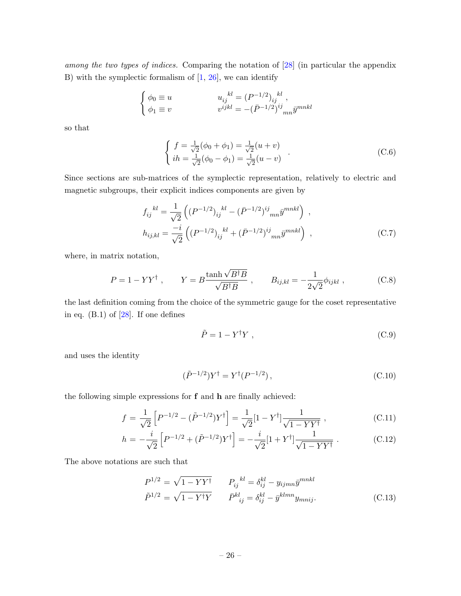among the two types of indices. Comparing the notation of [\[28\]](#page-27-19) (in particular the appendix B) with the symplectic formalism of  $[1, 26]$  $[1, 26]$ , we can identify

$$
\begin{cases}\n\phi_0 \equiv u & u_{ij}^{kl} = (P^{-1/2})_{ij}^{kl}, \\
\phi_1 \equiv v & v^{ijkl} = -(\bar{P}^{-1/2})^{ij}{}_{mn}\bar{y}^{mnkl}\n\end{cases}
$$

so that

$$
\begin{cases}\nf = \frac{1}{\sqrt{2}}(\phi_0 + \phi_1) = \frac{1}{\sqrt{2}}(u+v) \\
ih = \frac{1}{\sqrt{2}}(\phi_0 - \phi_1) = \frac{1}{\sqrt{2}}(u-v)\n\end{cases} \tag{C.6}
$$

Since sections are sub-matrices of the symplectic representation, relatively to electric and magnetic subgroups, their explicit indices components are given by

$$
f_{ij}^{kl} = \frac{1}{\sqrt{2}} \left( (P^{-1/2})_{ij}^{kl} - (\bar{P}^{-1/2})_{ij}^{ij}{}_{mn} \bar{y}^{mnkl} \right) ,
$$
  
\n
$$
h_{ij,kl} = \frac{-i}{\sqrt{2}} \left( (P^{-1/2})_{ij}^{kl} + (\bar{P}^{-1/2})_{im}^{ij} \bar{y}^{mnkl} \right) ,
$$
\n(C.7)

where, in matrix notation,

$$
P = 1 - YY^{\dagger} , \qquad Y = B \frac{\tanh \sqrt{B^{\dagger}B}}{\sqrt{B^{\dagger}B}} , \qquad B_{ij,kl} = -\frac{1}{2\sqrt{2}} \phi_{ijkl} , \qquad (C.8)
$$

the last definition coming from the choice of the symmetric gauge for the coset representative in eq.  $(B.1)$  of  $[28]$ . If one defines

$$
\tilde{P} = 1 - Y^{\dagger} Y , \qquad (C.9)
$$

and uses the identity

$$
(\tilde{P}^{-1/2})Y^{\dagger} = Y^{\dagger}(P^{-1/2}), \qquad (C.10)
$$

the following simple expressions for f and h are finally achieved:

<span id="page-25-0"></span>
$$
f = \frac{1}{\sqrt{2}} \left[ P^{-1/2} - (\tilde{P}^{-1/2}) Y^{\dagger} \right] = \frac{1}{\sqrt{2}} [1 - Y^{\dagger}] \frac{1}{\sqrt{1 - Y Y^{\dagger}}}, \tag{C.11}
$$

$$
h = -\frac{i}{\sqrt{2}} \left[ P^{-1/2} + (\tilde{P}^{-1/2}) Y^{\dagger} \right] = -\frac{i}{\sqrt{2}} [1 + Y^{\dagger}] \frac{1}{\sqrt{1 - Y Y^{\dagger}}} . \tag{C.12}
$$

The above notations are such that

$$
P^{1/2} = \sqrt{1 - YY^{\dagger}} \qquad P_{ij}^{kl} = \delta_{ij}^{kl} - y_{ijmn} \bar{y}^{mnkl}
$$
  

$$
\tilde{P}^{1/2} = \sqrt{1 - Y^{\dagger}Y} \qquad \bar{P}^{kl}_{ij} = \delta_{ij}^{kl} - \bar{y}^{klmn} y_{mnij}.
$$
 (C.13)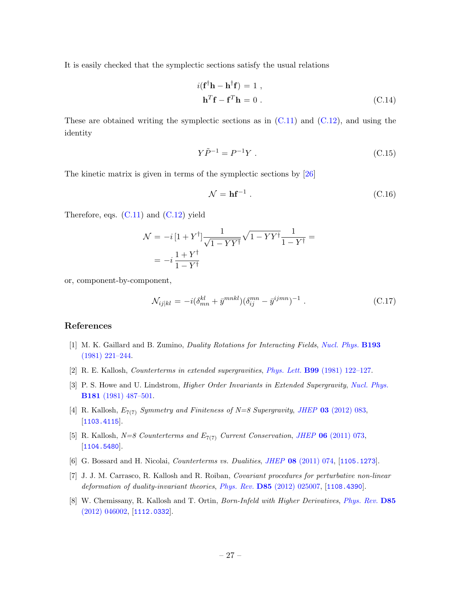It is easily checked that the symplectic sections satisfy the usual relations

$$
i(\mathbf{f}^{\dagger}\mathbf{h} - \mathbf{h}^{\dagger}\mathbf{f}) = 1 ,
$$
  

$$
\mathbf{h}^T \mathbf{f} - \mathbf{f}^T \mathbf{h} = 0 .
$$
 (C.14)

These are obtained writing the symplectic sections as in  $(C.11)$  and  $(C.12)$ , and using the identity

 $\mathbf{f}$ 

$$
Y\tilde{P}^{-1} = P^{-1}Y \tag{C.15}
$$

The kinetic matrix is given in terms of the symplectic sections by [\[26\]](#page-27-16)

$$
\mathcal{N} = \mathbf{hf}^{-1} \,. \tag{C.16}
$$

Therefore, eqs.  $(C.11)$  and  $(C.12)$  yield

$$
\mathcal{N} = -i\left[1 + Y^{\dagger}\right] \frac{1}{\sqrt{1 - YY^{\dagger}}} \sqrt{1 - YY^{\dagger}} \frac{1}{1 - Y^{\dagger}} =
$$

$$
= -i\frac{1 + Y^{\dagger}}{1 - Y^{\dagger}}
$$

or, component-by-component,

$$
\mathcal{N}_{ij|kl} = -i(\delta_{mn}^{kl} + \bar{y}^{mnkl})(\delta_{ij}^{mn} - \bar{y}^{ijmn})^{-1} . \tag{C.17}
$$

#### References

- <span id="page-26-0"></span>[1] M. K. Gaillard and B. Zumino, Duality Rotations for Interacting Fields, [Nucl. Phys.](http://dx.doi.org/10.1016/0550-3213(81)90527-7) B193 [\(1981\) 221–244.](http://dx.doi.org/10.1016/0550-3213(81)90527-7)
- <span id="page-26-1"></span>[2] R. E. Kallosh, Counterterms in extended supergravities, Phys. Lett. B99 [\(1981\) 122–127.](http://dx.doi.org/10.1016/0370-2693(81)90964-3)
- <span id="page-26-2"></span>[3] P. S. Howe and U. Lindstrom, *Higher Order Invariants in Extended Supergravity*, *[Nucl. Phys.](http://dx.doi.org/10.1016/0550-3213(81)90537-X)* B181 [\(1981\) 487–501.](http://dx.doi.org/10.1016/0550-3213(81)90537-X)
- <span id="page-26-3"></span>[4] R. Kallosh,  $E_{7(7)}$  Symmetry and Finiteness of N=8 Supergravity, JHEP 03 [\(2012\) 083,](http://dx.doi.org/10.1007/JHEP03(2012)083) [[1103.4115](http://arxiv.org/abs/1103.4115)].
- <span id="page-26-4"></span>[5] R. Kallosh,  $N=8$  Counterterms and  $E_{7(7)}$  Current Conservation, JHEP 06 [\(2011\) 073,](http://dx.doi.org/10.1007/JHEP06(2011)073) [[1104.5480](http://arxiv.org/abs/1104.5480)].
- <span id="page-26-5"></span>[6] G. Bossard and H. Nicolai, Counterterms vs. Dualities, JHEP 08 [\(2011\) 074,](http://dx.doi.org/10.1007/JHEP08(2011)074) [[1105.1273](http://arxiv.org/abs/1105.1273)].
- <span id="page-26-6"></span>[7] J. J. M. Carrasco, R. Kallosh and R. Roiban, Covariant procedures for perturbative non-linear deformation of duality-invariant theories, Phys. Rev. D85 [\(2012\) 025007,](http://dx.doi.org/10.1103/PhysRevD.85.025007) [[1108.4390](http://arxiv.org/abs/1108.4390)].
- <span id="page-26-7"></span>[8] W. Chemissany, R. Kallosh and T. Ortin, Born-Infeld with Higher Derivatives, [Phys. Rev.](http://dx.doi.org/10.1103/PhysRevD.85.046002) D85 [\(2012\) 046002,](http://dx.doi.org/10.1103/PhysRevD.85.046002) [[1112.0332](http://arxiv.org/abs/1112.0332)].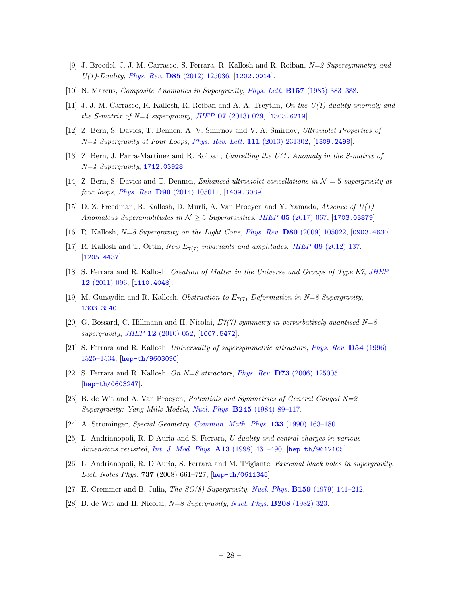- <span id="page-27-0"></span>[9] J. Broedel, J. J. M. Carrasco, S. Ferrara, R. Kallosh and R. Roiban, N=2 Supersymmetry and  $U(1)$ -Duality, Phys. Rev. D85 [\(2012\) 125036,](http://dx.doi.org/10.1103/PhysRevD.85.125036) [[1202.0014](http://arxiv.org/abs/1202.0014)].
- <span id="page-27-1"></span>[10] N. Marcus, Composite Anomalies in Supergravity, Phys. Lett. B157 [\(1985\) 383–388.](http://dx.doi.org/10.1016/0370-2693(85)90385-5)
- <span id="page-27-2"></span>[11] J. J. M. Carrasco, R. Kallosh, R. Roiban and A. A. Tseytlin, On the U(1) duality anomaly and the S-matrix of  $N=4$  supergravity, JHEP 07 [\(2013\) 029,](http://dx.doi.org/10.1007/JHEP07(2013)029) [[1303.6219](http://arxiv.org/abs/1303.6219)].
- <span id="page-27-3"></span>[12] Z. Bern, S. Davies, T. Dennen, A. V. Smirnov and V. A. Smirnov, Ultraviolet Properties of  $N=4$  Supergravity at Four Loops, [Phys. Rev. Lett.](http://dx.doi.org/10.1103/PhysRevLett.111.231302) 111 (2013) 231302, [[1309.2498](http://arxiv.org/abs/1309.2498)].
- <span id="page-27-4"></span>[13] Z. Bern, J. Parra-Martinez and R. Roiban, Cancelling the U(1) Anomaly in the S-matrix of  $N = 4$  Supergravity, [1712.03928](http://arxiv.org/abs/1712.03928).
- <span id="page-27-5"></span>[14] Z. Bern, S. Davies and T. Dennen, Enhanced ultraviolet cancellations in  $\mathcal{N}=5$  supergravity at four loops, Phys. Rev. **D90** [\(2014\) 105011,](http://dx.doi.org/10.1103/PhysRevD.90.105011) [[1409.3089](http://arxiv.org/abs/1409.3089)].
- <span id="page-27-6"></span>[15] D. Z. Freedman, R. Kallosh, D. Murli, A. Van Proeyen and Y. Yamada, Absence of  $U(1)$ Anomalous Superamplitudes in  $N \geq 5$  Supergravities, JHEP 05 [\(2017\) 067,](http://dx.doi.org/10.1007/JHEP05(2017)067) [[1703.03879](http://arxiv.org/abs/1703.03879)].
- <span id="page-27-17"></span>[16] R. Kallosh, N=8 Supergravity on the Light Cone, Phys. Rev. **D80** [\(2009\) 105022,](http://dx.doi.org/10.1103/PhysRevD.80.105022) [[0903.4630](http://arxiv.org/abs/0903.4630)].
- <span id="page-27-7"></span>[17] R. Kallosh and T. Ortin, New  $E_{7(7)}$  invariants and amplitudes, JHEP 09 [\(2012\) 137,](http://dx.doi.org/10.1007/JHEP09(2012)137) [[1205.4437](http://arxiv.org/abs/1205.4437)].
- <span id="page-27-8"></span>[18] S. Ferrara and R. Kallosh, Creation of Matter in the Universe and Groups of Type E7, [JHEP](http://dx.doi.org/10.1007/JHEP12(2011)096) 12 [\(2011\) 096,](http://dx.doi.org/10.1007/JHEP12(2011)096) [[1110.4048](http://arxiv.org/abs/1110.4048)].
- <span id="page-27-9"></span>[19] M. Gunaydin and R. Kallosh, *Obstruction to*  $E_{7(7)}$  *Deformation in N=8 Supergravity*, [1303.3540](http://arxiv.org/abs/1303.3540).
- <span id="page-27-10"></span>[20] G. Bossard, C. Hillmann and H. Nicolai,  $E7(7)$  symmetry in perturbatively quantised N=8 supergravity, JHEP  $12$  [\(2010\) 052,](http://dx.doi.org/10.1007/JHEP12(2010)052) [[1007.5472](http://arxiv.org/abs/1007.5472)].
- <span id="page-27-11"></span>[21] S. Ferrara and R. Kallosh, Universality of supersymmetric attractors, [Phys. Rev.](http://dx.doi.org/10.1103/PhysRevD.54.1525) D54 (1996) [1525–1534,](http://dx.doi.org/10.1103/PhysRevD.54.1525) [[hep-th/9603090](http://arxiv.org/abs/hep-th/9603090)].
- <span id="page-27-12"></span>[22] S. Ferrara and R. Kallosh, On  $N=8$  attractors, Phys. Rev. D73 [\(2006\) 125005,](http://dx.doi.org/10.1103/PhysRevD.73.125005) [[hep-th/0603247](http://arxiv.org/abs/hep-th/0603247)].
- <span id="page-27-13"></span>[23] B. de Wit and A. Van Proeyen, *Potentials and Symmetries of General Gauged N=2* Supergravity: Yang-Mills Models, Nucl. Phys. **B245** (1984) 89-117.
- <span id="page-27-14"></span>[24] A. Strominger, Special Geometry, [Commun. Math. Phys.](http://dx.doi.org/10.1007/BF02096559) 133 (1990) 163–180.
- <span id="page-27-15"></span>[25] L. Andrianopoli, R. D'Auria and S. Ferrara, U duality and central charges in various dimensions revisited, [Int. J. Mod. Phys.](http://dx.doi.org/10.1142/S0217751X98000196) **A13** (1998) 431-490, [[hep-th/9612105](http://arxiv.org/abs/hep-th/9612105)].
- <span id="page-27-16"></span>[26] L. Andrianopoli, R. D'Auria, S. Ferrara and M. Trigiante, Extremal black holes in supergravity, Lect. Notes Phys. 737 (2008) 661–727,  $[hep-th/0611345]$  $[hep-th/0611345]$  $[hep-th/0611345]$ .
- <span id="page-27-18"></span>[27] E. Cremmer and B. Julia, The SO(8) Supergravity, Nucl. Phys. B159 [\(1979\) 141–212.](http://dx.doi.org/10.1016/0550-3213(79)90331-6)
- <span id="page-27-19"></span>[28] B. de Wit and H. Nicolai,  $N=8$  Supergravity, [Nucl. Phys.](http://dx.doi.org/10.1016/0550-3213(82)90120-1) **B208** (1982) 323.